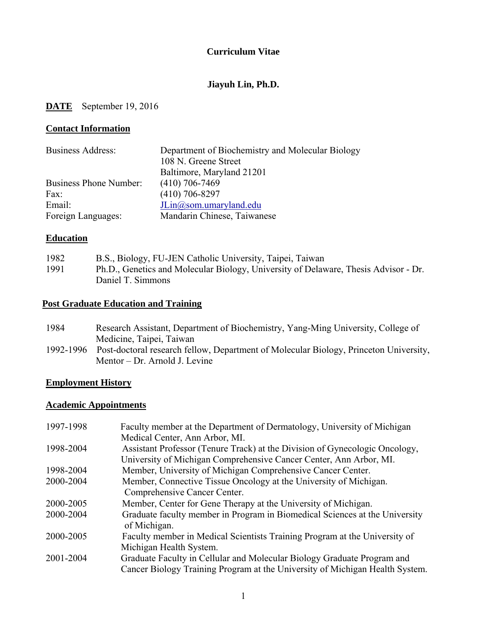### **Curriculum Vitae**

### **Jiayuh Lin, Ph.D.**

## **DATE** September 19, 2016

#### **Contact Information**

| <b>Business Address:</b>      | Department of Biochemistry and Molecular Biology |
|-------------------------------|--------------------------------------------------|
|                               | 108 N. Greene Street                             |
|                               | Baltimore, Maryland 21201                        |
| <b>Business Phone Number:</b> | $(410)$ 706-7469                                 |
| Fax:                          | $(410)$ 706-8297                                 |
| Email:                        | $JLin@som.$ umaryland.edu                        |
| Foreign Languages:            | Mandarin Chinese, Taiwanese                      |

### **Education**

| 1982 | B.S., Biology, FU-JEN Catholic University, Taipei, Taiwan                           |
|------|-------------------------------------------------------------------------------------|
| 1991 | Ph.D., Genetics and Molecular Biology, University of Delaware, Thesis Advisor - Dr. |
|      | Daniel T. Simmons                                                                   |

## **Post Graduate Education and Training**

- 1984 Research Assistant, Department of Biochemistry, Yang-Ming University, College of Medicine, Taipei, Taiwan
- 1992-1996 Post-doctoral research fellow, Department of Molecular Biology, Princeton University, Mentor – Dr. Arnold J. Levine

### **Employment History**

## **Academic Appointments**

| 1997-1998 | Faculty member at the Department of Dermatology, University of Michigan      |
|-----------|------------------------------------------------------------------------------|
|           | Medical Center, Ann Arbor, MI.                                               |
| 1998-2004 | Assistant Professor (Tenure Track) at the Division of Gynecologic Oncology,  |
|           | University of Michigan Comprehensive Cancer Center, Ann Arbor, MI.           |
| 1998-2004 | Member, University of Michigan Comprehensive Cancer Center.                  |
| 2000-2004 | Member, Connective Tissue Oncology at the University of Michigan.            |
|           | Comprehensive Cancer Center.                                                 |
| 2000-2005 | Member, Center for Gene Therapy at the University of Michigan.               |
| 2000-2004 | Graduate faculty member in Program in Biomedical Sciences at the University  |
|           | of Michigan.                                                                 |
| 2000-2005 | Faculty member in Medical Scientists Training Program at the University of   |
|           | Michigan Health System.                                                      |
| 2001-2004 | Graduate Faculty in Cellular and Molecular Biology Graduate Program and      |
|           | Cancer Biology Training Program at the University of Michigan Health System. |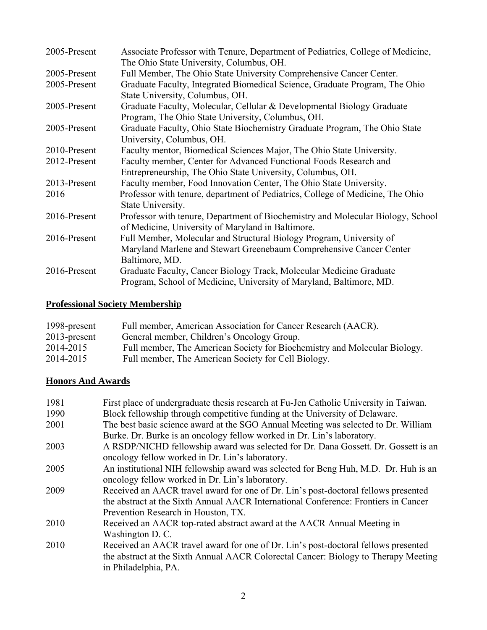| 2005-Present | Associate Professor with Tenure, Department of Pediatrics, College of Medicine, |
|--------------|---------------------------------------------------------------------------------|
|              | The Ohio State University, Columbus, OH.                                        |
| 2005-Present | Full Member, The Ohio State University Comprehensive Cancer Center.             |
| 2005-Present | Graduate Faculty, Integrated Biomedical Science, Graduate Program, The Ohio     |
|              | State University, Columbus, OH.                                                 |
| 2005-Present | Graduate Faculty, Molecular, Cellular & Developmental Biology Graduate          |
|              | Program, The Ohio State University, Columbus, OH.                               |
| 2005-Present | Graduate Faculty, Ohio State Biochemistry Graduate Program, The Ohio State      |
|              | University, Columbus, OH.                                                       |
| 2010-Present | Faculty mentor, Biomedical Sciences Major, The Ohio State University.           |
| 2012-Present | Faculty member, Center for Advanced Functional Foods Research and               |
|              | Entrepreneurship, The Ohio State University, Columbus, OH.                      |
| 2013-Present | Faculty member, Food Innovation Center, The Ohio State University.              |
| 2016         | Professor with tenure, department of Pediatrics, College of Medicine, The Ohio  |
|              | State University.                                                               |
| 2016-Present | Professor with tenure, Department of Biochemistry and Molecular Biology, School |
|              | of Medicine, University of Maryland in Baltimore.                               |
| 2016-Present | Full Member, Molecular and Structural Biology Program, University of            |
|              | Maryland Marlene and Stewart Greenebaum Comprehensive Cancer Center             |
|              | Baltimore, MD.                                                                  |
| 2016-Present | Graduate Faculty, Cancer Biology Track, Molecular Medicine Graduate             |
|              | Program, School of Medicine, University of Maryland, Baltimore, MD.             |

# **Professional Society Membership**

| 1998-present    | Full member, American Association for Cancer Research (AACR).             |
|-----------------|---------------------------------------------------------------------------|
| $2013$ -present | General member, Children's Oncology Group.                                |
| 2014-2015       | Full member, The American Society for Biochemistry and Molecular Biology. |
| 2014-2015       | Full member, The American Society for Cell Biology.                       |

## **Honors And Awards**

| 1981 | First place of undergraduate thesis research at Fu-Jen Catholic University in Taiwan. |
|------|---------------------------------------------------------------------------------------|
| 1990 | Block fellowship through competitive funding at the University of Delaware.           |
| 2001 | The best basic science award at the SGO Annual Meeting was selected to Dr. William    |
|      | Burke. Dr. Burke is an oncology fellow worked in Dr. Lin's laboratory.                |
| 2003 | A RSDP/NICHD fellowship award was selected for Dr. Dana Gossett. Dr. Gossett is an    |
|      | oncology fellow worked in Dr. Lin's laboratory.                                       |
| 2005 | An institutional NIH fellowship award was selected for Beng Huh, M.D. Dr. Huh is an   |
|      | oncology fellow worked in Dr. Lin's laboratory.                                       |
| 2009 | Received an AACR travel award for one of Dr. Lin's post-doctoral fellows presented    |
|      | the abstract at the Sixth Annual AACR International Conference: Frontiers in Cancer   |
|      | Prevention Research in Houston, TX.                                                   |
| 2010 | Received an AACR top-rated abstract award at the AACR Annual Meeting in               |
|      | Washington D. C.                                                                      |
| 2010 | Received an AACR travel award for one of Dr. Lin's post-doctoral fellows presented    |
|      | the abstract at the Sixth Annual AACR Colorectal Cancer: Biology to Therapy Meeting   |
|      | in Philadelphia, PA.                                                                  |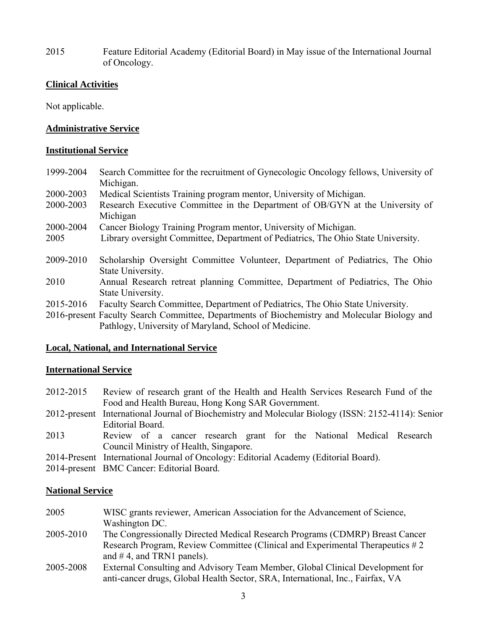2015 Feature Editorial Academy (Editorial Board) in May issue of the International Journal of Oncology.

### **Clinical Activities**

Not applicable.

### **Administrative Service**

### **Institutional Service**

1999-2004 Search Committee for the recruitment of Gynecologic Oncology fellows, University of Michigan. 2000-2003 Medical Scientists Training program mentor, University of Michigan. 2000-2003 Research Executive Committee in the Department of OB/GYN at the University of Michigan 2000-2004 Cancer Biology Training Program mentor, University of Michigan. 2005 Library oversight Committee, Department of Pediatrics, The Ohio State University. 2009-2010 Scholarship Oversight Committee Volunteer, Department of Pediatrics, The Ohio State University. 2010 Annual Research retreat planning Committee, Department of Pediatrics, The Ohio State University. 2015-2016 Faculty Search Committee, Department of Pediatrics, The Ohio State University.

2016-present Faculty Search Committee, Departments of Biochemistry and Molecular Biology and Pathlogy, University of Maryland, School of Medicine.

### **Local, National, and International Service**

### **International Service**

- 2012-2015 Review of research grant of the Health and Health Services Research Fund of the Food and Health Bureau, Hong Kong SAR Government.
- 2012-present International Journal of Biochemistry and Molecular Biology (ISSN: 2152-4114): Senior Editorial Board.
- 2013 Review of a cancer research grant for the National Medical Research Council Ministry of Health, Singapore.
- 2014-Present International Journal of Oncology: Editorial Academy (Editorial Board).
- 2014-present BMC Cancer: Editorial Board.

### **National Service**

- 2005 WISC grants reviewer, American Association for the Advancement of Science, Washington DC.
- 2005-2010 The Congressionally Directed Medical Research Programs (CDMRP) Breast Cancer Research Program, Review Committee (Clinical and Experimental Therapeutics # 2 and  $\#$  4, and TRN1 panels).
- 2005-2008 External Consulting and Advisory Team Member, Global Clinical Development for anti-cancer drugs, Global Health Sector, SRA, International, Inc., Fairfax, VA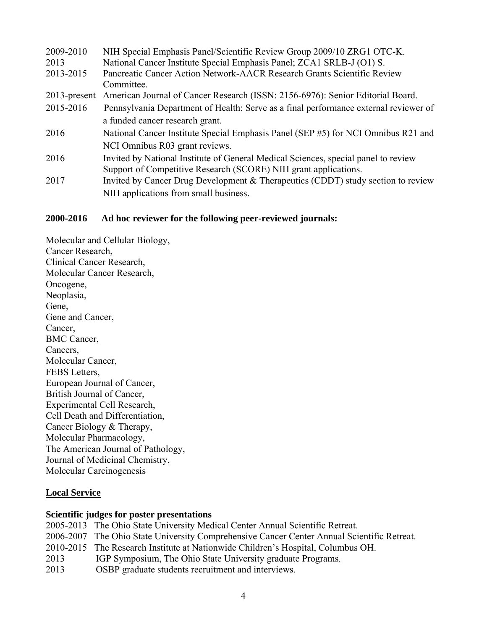| 2009-2010       | NIH Special Emphasis Panel/Scientific Review Group 2009/10 ZRG1 OTC-K.               |
|-----------------|--------------------------------------------------------------------------------------|
| 2013            | National Cancer Institute Special Emphasis Panel; ZCA1 SRLB-J (O1) S.                |
| 2013-2015       | Pancreatic Cancer Action Network-AACR Research Grants Scientific Review              |
|                 | Committee.                                                                           |
| $2013$ -present | American Journal of Cancer Research (ISSN: 2156-6976): Senior Editorial Board.       |
| 2015-2016       | Pennsylvania Department of Health: Serve as a final performance external reviewer of |
|                 | a funded cancer research grant.                                                      |
| 2016            | National Cancer Institute Special Emphasis Panel (SEP #5) for NCI Omnibus R21 and    |
|                 | NCI Omnibus R03 grant reviews.                                                       |
| 2016            | Invited by National Institute of General Medical Sciences, special panel to review   |
|                 | Support of Competitive Research (SCORE) NIH grant applications.                      |
| 2017            | Invited by Cancer Drug Development & Therapeutics (CDDT) study section to review     |
|                 | NIH applications from small business.                                                |

### **2000-2016 Ad hoc reviewer for the following peer-reviewed journals:**

Molecular and Cellular Biology, Cancer Research, Clinical Cancer Research, Molecular Cancer Research, Oncogene, Neoplasia, Gene, Gene and Cancer, Cancer, BMC Cancer, Cancers, Molecular Cancer, FEBS Letters, European Journal of Cancer, British Journal of Cancer, Experimental Cell Research, Cell Death and Differentiation, Cancer Biology & Therapy, Molecular Pharmacology, The American Journal of Pathology, Journal of Medicinal Chemistry, Molecular Carcinogenesis

### **Local Service**

### **Scientific judges for poster presentations**

2005-2013 The Ohio State University Medical Center Annual Scientific Retreat. 2006-2007 The Ohio State University Comprehensive Cancer Center Annual Scientific Retreat. 2010-2015 The Research Institute at Nationwide Children's Hospital, Columbus OH. 2013 IGP Symposium, The Ohio State University graduate Programs. 2013 OSBP graduate students recruitment and interviews.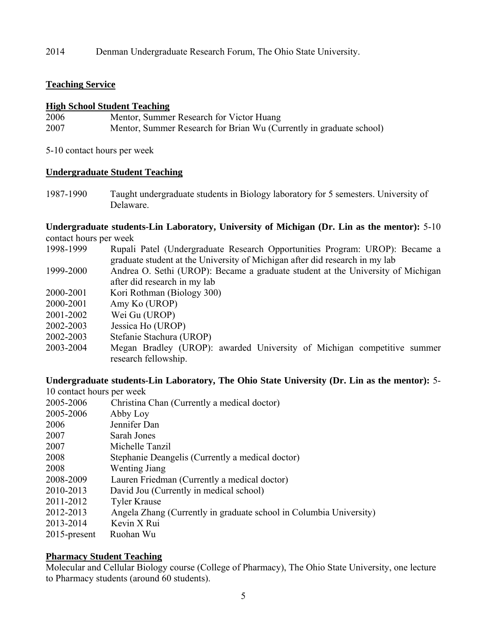2014 Denman Undergraduate Research Forum, The Ohio State University.

### **Teaching Service**

### **High School Student Teaching**

| 2006 | Mentor, Summer Research for Victor Huang                            |
|------|---------------------------------------------------------------------|
| 2007 | Mentor, Summer Research for Brian Wu (Currently in graduate school) |

5-10 contact hours per week

### **Undergraduate Student Teaching**

1987-1990 Taught undergraduate students in Biology laboratory for 5 semesters. University of Delaware.

### **Undergraduate students-Lin Laboratory, University of Michigan (Dr. Lin as the mentor):** 5-10 contact hours per week

- 1998-1999 Rupali Patel (Undergraduate Research Opportunities Program: UROP): Became a graduate student at the University of Michigan after did research in my lab
- 1999-2000 Andrea O. Sethi (UROP): Became a graduate student at the University of Michigan after did research in my lab
- 2000-2001 Kori Rothman (Biology 300)
- 2000-2001 Amy Ko (UROP)
- 2001-2002 Wei Gu (UROP)
- 2002-2003 Jessica Ho (UROP)
- 2002-2003 Stefanie Stachura (UROP)
- 2003-2004 Megan Bradley (UROP): awarded University of Michigan competitive summer research fellowship.

### **Undergraduate students-Lin Laboratory, The Ohio State University (Dr. Lin as the mentor):** 5-

| 10 contact hours per week |                                                                    |
|---------------------------|--------------------------------------------------------------------|
| 2005-2006                 | Christina Chan (Currently a medical doctor)                        |
| 2005-2006                 | Abby Loy                                                           |
| 2006                      | Jennifer Dan                                                       |
| 2007                      | Sarah Jones                                                        |
| 2007                      | Michelle Tanzil                                                    |
| 2008                      | Stephanie Deangelis (Currently a medical doctor)                   |
| 2008                      | <b>Wenting Jiang</b>                                               |
| 2008-2009                 | Lauren Friedman (Currently a medical doctor)                       |
| 2010-2013                 | David Jou (Currently in medical school)                            |
| 2011-2012                 | <b>Tyler Krause</b>                                                |
| 2012-2013                 | Angela Zhang (Currently in graduate school in Columbia University) |
| 2013-2014                 | Kevin X Rui                                                        |
| 2015-present              | Ruohan Wu                                                          |

#### **Pharmacy Student Teaching**

Molecular and Cellular Biology course (College of Pharmacy), The Ohio State University, one lecture to Pharmacy students (around 60 students).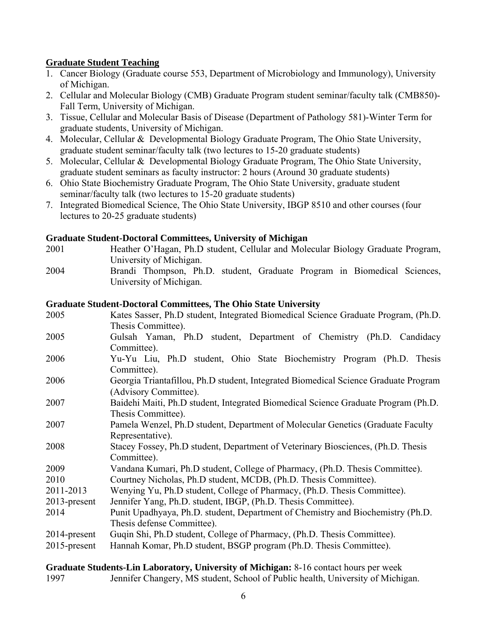## **Graduate Student Teaching**

- 1. Cancer Biology (Graduate course 553, Department of Microbiology and Immunology), University of Michigan.
- 2. Cellular and Molecular Biology (CMB) Graduate Program student seminar/faculty talk (CMB850)- Fall Term, University of Michigan.
- 3. Tissue, Cellular and Molecular Basis of Disease (Department of Pathology 581)-Winter Term for graduate students, University of Michigan.
- 4. Molecular, Cellular & Developmental Biology Graduate Program, The Ohio State University, graduate student seminar/faculty talk (two lectures to 15-20 graduate students)
- 5. Molecular, Cellular & Developmental Biology Graduate Program, The Ohio State University, graduate student seminars as faculty instructor: 2 hours (Around 30 graduate students)
- 6. Ohio State Biochemistry Graduate Program, The Ohio State University, graduate student seminar/faculty talk (two lectures to 15-20 graduate students)
- 7. Integrated Biomedical Science, The Ohio State University, IBGP 8510 and other courses (four lectures to 20-25 graduate students)

### **Graduate Student-Doctoral Committees, University of Michigan**

- 2001 Heather O'Hagan, Ph.D student, Cellular and Molecular Biology Graduate Program, University of Michigan.
- 2004 Brandi Thompson, Ph.D. student, Graduate Program in Biomedical Sciences, University of Michigan.

### **Graduate Student-Doctoral Committees, The Ohio State University**

2005 Kates Sasser, Ph.D student, Integrated Biomedical Science Graduate Program, (Ph.D. Thesis Committee). 2005 Gulsah Yaman, Ph.D student, Department of Chemistry (Ph.D. Candidacy Committee). 2006 Yu-Yu Liu, Ph.D student, Ohio State Biochemistry Program (Ph.D. Thesis Committee). 2006 Georgia Triantafillou, Ph.D student, Integrated Biomedical Science Graduate Program (Advisory Committee). 2007 Baidehi Maiti, Ph.D student, Integrated Biomedical Science Graduate Program (Ph.D. Thesis Committee). 2007 Pamela Wenzel, Ph.D student, Department of Molecular Genetics (Graduate Faculty Representative). 2008 Stacey Fossey, Ph.D student, Department of Veterinary Biosciences, (Ph.D. Thesis Committee). 2009 Vandana Kumari, Ph.D student, College of Pharmacy, (Ph.D. Thesis Committee). 2010 Courtney Nicholas, Ph.D student, MCDB, (Ph.D. Thesis Committee). 2011-2013 Wenying Yu, Ph.D student, College of Pharmacy, (Ph.D. Thesis Committee). 2013-present Jennifer Yang, Ph.D. student, IBGP, (Ph.D. Thesis Committee). 2014 Punit Upadhyaya, Ph.D. student, Department of Chemistry and Biochemistry (Ph.D. Thesis defense Committee). 2014-present Guqin Shi, Ph.D student, College of Pharmacy, (Ph.D. Thesis Committee). 2015-present Hannah Komar, Ph.D student, BSGP program (Ph.D. Thesis Committee).

**Graduate Students-Lin Laboratory, University of Michigan:** 8-16 contact hours per week 1997 Jennifer Changery, MS student, School of Public health, University of Michigan.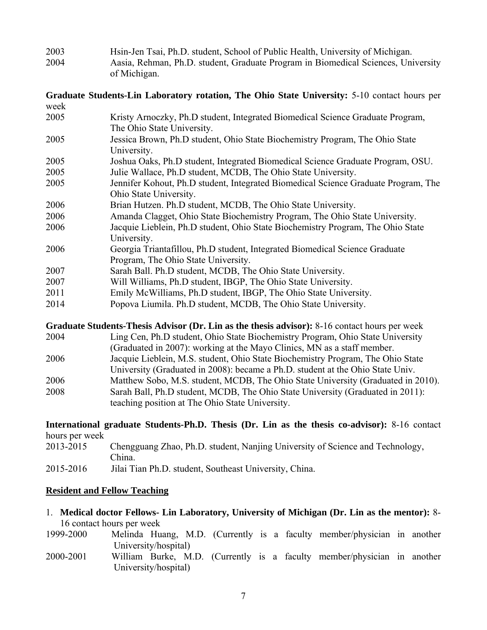2003 Hsin-Jen Tsai, Ph.D. student, School of Public Health, University of Michigan. 2004 Aasia, Rehman, Ph.D. student, Graduate Program in Biomedical Sciences, University of Michigan.

**Graduate Students-Lin Laboratory rotation, The Ohio State University:** 5-10 contact hours per week

- 2005 Kristy Arnoczky, Ph.D student, Integrated Biomedical Science Graduate Program, The Ohio State University.
- 2005 Jessica Brown, Ph.D student, Ohio State Biochemistry Program, The Ohio State University.
- 2005 Joshua Oaks, Ph.D student, Integrated Biomedical Science Graduate Program, OSU. 2005 Julie Wallace, Ph.D student, MCDB, The Ohio State University.
- 2005 Jennifer Kohout, Ph.D student, Integrated Biomedical Science Graduate Program, The Ohio State University.
- 2006 Brian Hutzen. Ph.D student, MCDB, The Ohio State University.
- 2006 Amanda Clagget, Ohio State Biochemistry Program, The Ohio State University.
- 2006 Jacquie Lieblein, Ph.D student, Ohio State Biochemistry Program, The Ohio State University.
- 2006 Georgia Triantafillou, Ph.D student, Integrated Biomedical Science Graduate Program, The Ohio State University.
- 2007 Sarah Ball. Ph.D student, MCDB, The Ohio State University.
- 2007 Will Williams, Ph.D student, IBGP, The Ohio State University.
- 2011 Emily McWilliams, Ph.D student, IBGP, The Ohio State University.
- 2014 Popova Liumila. Ph.D student, MCDB, The Ohio State University.

**Graduate Students-Thesis Advisor (Dr. Lin as the thesis advisor):** 8-16 contact hours per week 2004 Ling Cen, Ph.D student, Ohio State Biochemistry Program, Ohio State University (Graduated in 2007): working at the Mayo Clinics, MN as a staff member.

- 2006 Jacquie Lieblein, M.S. student, Ohio State Biochemistry Program, The Ohio State
- University (Graduated in 2008): became a Ph.D. student at the Ohio State Univ.
- 2006 Matthew Sobo, M.S. student, MCDB, The Ohio State University (Graduated in 2010).
- 2008 Sarah Ball, Ph.D student, MCDB, The Ohio State University (Graduated in 2011): teaching position at The Ohio State University.

**International graduate Students-Ph.D. Thesis (Dr. Lin as the thesis co-advisor):** 8-16 contact hours per week

| 2013-2015 | Chengguang Zhao, Ph.D. student, Nanjing University of Science and Technology,<br>China. |
|-----------|-----------------------------------------------------------------------------------------|
| --------  |                                                                                         |

2015-2016 Jilai Tian Ph.D. student, Southeast University, China.

### **Resident and Fellow Teaching**

- 1. **Medical doctor Fellows- Lin Laboratory, University of Michigan (Dr. Lin as the mentor):** 8- 16 contact hours per week
- 1999-2000 Melinda Huang, M.D. (Currently is a faculty member/physician in another University/hospital)
- 2000-2001 William Burke, M.D. (Currently is a faculty member/physician in another University/hospital)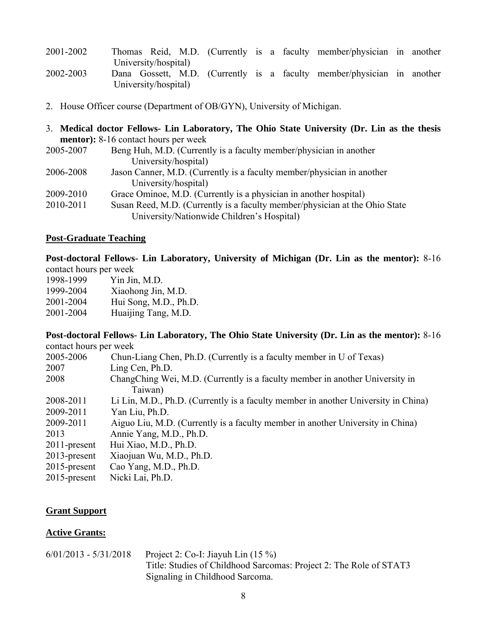| 2001-2002 |                      |  |  | Thomas Reid, M.D. (Currently is a faculty member/physician in another  |  |
|-----------|----------------------|--|--|------------------------------------------------------------------------|--|
|           | University/hospital) |  |  |                                                                        |  |
| 2002-2003 |                      |  |  | Dana Gossett, M.D. (Currently is a faculty member/physician in another |  |
|           | University/hospital) |  |  |                                                                        |  |

- 2. House Officer course (Department of OB/GYN), University of Michigan.
- 3. **Medical doctor Fellows- Lin Laboratory, The Ohio State University (Dr. Lin as the thesis mentor):** 8-16 contact hours per week<br>2005, 2007 Bong Hub, M.D. (Current  $\overline{R}_{\text{eno}}$  Huh, M.D. (Currently is a faculty member/physician in another

| $2003 - 2007$ | Delle Hull, M.D. (Currently is a faculty member/physician in another        |
|---------------|-----------------------------------------------------------------------------|
|               | University/hospital)                                                        |
| 2006-2008     | Jason Canner, M.D. (Currently is a faculty member/physician in another      |
|               | University/hospital)                                                        |
| 2009-2010     | Grace Ominoe, M.D. (Currently is a physician in another hospital)           |
| 2010-2011     | Susan Reed, M.D. (Currently is a faculty member/physician at the Ohio State |
|               | University/Nationwide Children's Hospital)                                  |

#### **Post-Graduate Teaching**

**Post-doctoral Fellows- Lin Laboratory, University of Michigan (Dr. Lin as the mentor):** 8-16 contact hours per week

| 1998-1999 | Yin Jin, M.D.         |
|-----------|-----------------------|
| 1999-2004 | Xiaohong Jin, M.D.    |
| 2001-2004 | Hui Song, M.D., Ph.D. |
| 2001-2004 | Huaijing Tang, M.D.   |

#### **Post-doctoral Fellows- Lin Laboratory, The Ohio State University (Dr. Lin as the mentor):** 8-16 contact hours per week

| 2005-2006       | Chun-Liang Chen, Ph.D. (Currently is a faculty member in U of Texas)               |
|-----------------|------------------------------------------------------------------------------------|
| 2007            | Ling Cen, Ph.D.                                                                    |
| 2008            | ChangChing Wei, M.D. (Currently is a faculty member in another University in       |
|                 | Taiwan)                                                                            |
| 2008-2011       | Li Lin, M.D., Ph.D. (Currently is a faculty member in another University in China) |
| 2009-2011       | Yan Liu, Ph.D.                                                                     |
| 2009-2011       | Aiguo Liu, M.D. (Currently is a faculty member in another University in China)     |
| 2013            | Annie Yang, M.D., Ph.D.                                                            |
| 2011-present    | Hui Xiao, M.D., Ph.D.                                                              |
| $2013$ -present | Xiaojuan Wu, M.D., Ph.D.                                                           |
| $2015$ -present | Cao Yang, M.D., Ph.D.                                                              |
| $2015$ -present | Nicki Lai, Ph.D.                                                                   |
|                 |                                                                                    |

### **Grant Support**

#### **Active Grants:**

| $6/01/2013 - 5/31/2018$ | Project 2: Co-I: Jiayuh Lin $(15\%)$                               |
|-------------------------|--------------------------------------------------------------------|
|                         | Title: Studies of Childhood Sarcomas: Project 2: The Role of STAT3 |
|                         | Signaling in Childhood Sarcoma.                                    |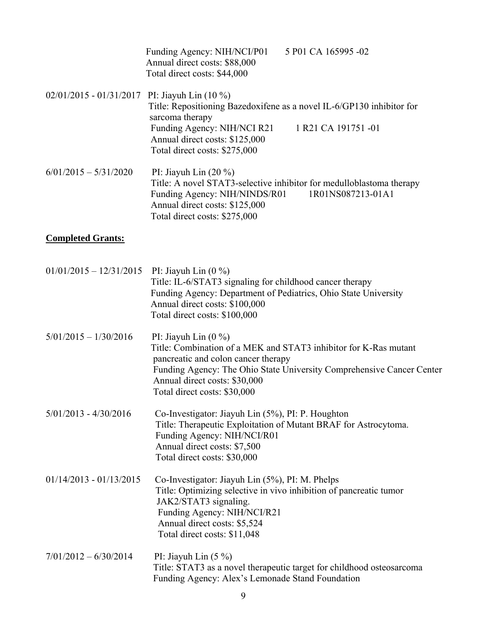|                           | 5 P01 CA 165995 -02<br>Funding Agency: NIH/NCI/P01<br>Annual direct costs: \$88,000<br>Total direct costs: \$44,000                                                                                                                                      |
|---------------------------|----------------------------------------------------------------------------------------------------------------------------------------------------------------------------------------------------------------------------------------------------------|
| $02/01/2015 - 01/31/2017$ | PI: Jiayuh Lin $(10\%)$<br>Title: Repositioning Bazedoxifene as a novel IL-6/GP130 inhibitor for<br>sarcoma therapy<br>Funding Agency: NIH/NCI R21<br>1 R <sub>21</sub> CA 191751 -01<br>Annual direct costs: \$125,000<br>Total direct costs: \$275,000 |
| $6/01/2015 - 5/31/2020$   | PI: Jiayuh Lin $(20\%)$<br>Title: A novel STAT3-selective inhibitor for medulloblastoma therapy<br>1R01NS087213-01A1<br>Funding Agency: NIH/NINDS/R01<br>Annual direct costs: \$125,000<br>Total direct costs: \$275,000                                 |
| <b>Completed Grants:</b>  |                                                                                                                                                                                                                                                          |
| $01/01/2015 - 12/31/2015$ | PI: Jiayuh Lin $(0\%)$<br>Title: IL-6/STAT3 signaling for childhood cancer therapy<br>Funding Agency: Department of Pediatrics, Ohio State University<br>Annual direct costs: \$100,000                                                                  |

- $5/01/2015 1/30/2016$  PI: Jiayuh Lin (0 %) Title: Combination of a MEK and STAT3 inhibitor for K-Ras mutant pancreatic and colon cancer therapy Funding Agency: The Ohio State University Comprehensive Cancer Center Annual direct costs: \$30,000 Total direct costs: \$30,000
- 5/01/2013 4/30/2016 Co-Investigator: Jiayuh Lin (5%), PI: P. Houghton Title: Therapeutic Exploitation of Mutant BRAF for Astrocytoma. Funding Agency: NIH/NCI/R01 Annual direct costs: \$7,500 Total direct costs: \$30,000

Total direct costs: \$100,000

- 01/14/2013 01/13/2015 Co-Investigator: Jiayuh Lin (5%), PI: M. Phelps Title: Optimizing selective in vivo inhibition of pancreatic tumor JAK2/STAT3 signaling. Funding Agency: NIH/NCI/R21 Annual direct costs: \$5,524 Total direct costs: \$11,048
- $7/01/2012 6/30/2014$  PI: Jiayuh Lin (5 %) Title: STAT3 as a novel therapeutic target for childhood osteosarcoma Funding Agency: Alex's Lemonade Stand Foundation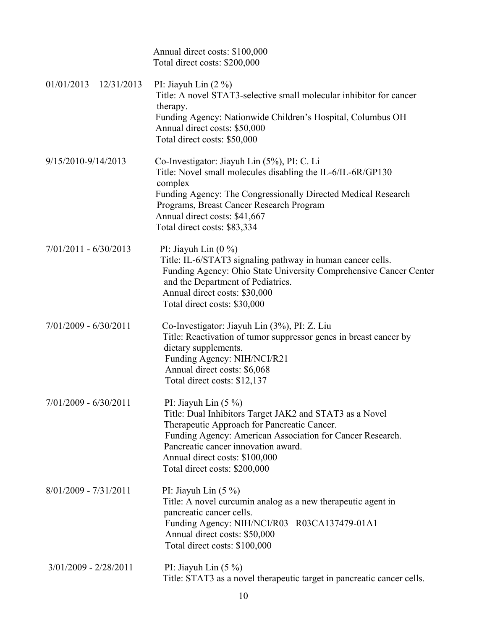|                           | Annual direct costs: \$100,000<br>Total direct costs: \$200,000                                                                                                                                                                                                                                         |
|---------------------------|---------------------------------------------------------------------------------------------------------------------------------------------------------------------------------------------------------------------------------------------------------------------------------------------------------|
| $01/01/2013 - 12/31/2013$ | PI: Jiayuh Lin $(2 \%)$<br>Title: A novel STAT3-selective small molecular inhibitor for cancer<br>therapy.<br>Funding Agency: Nationwide Children's Hospital, Columbus OH<br>Annual direct costs: \$50,000<br>Total direct costs: \$50,000                                                              |
| 9/15/2010-9/14/2013       | Co-Investigator: Jiayuh Lin (5%), PI: C. Li<br>Title: Novel small molecules disabling the IL-6/IL-6R/GP130<br>complex<br>Funding Agency: The Congressionally Directed Medical Research<br>Programs, Breast Cancer Research Program<br>Annual direct costs: \$41,667<br>Total direct costs: \$83,334     |
| $7/01/2011 - 6/30/2013$   | PI: Jiayuh Lin $(0\%)$<br>Title: IL-6/STAT3 signaling pathway in human cancer cells.<br>Funding Agency: Ohio State University Comprehensive Cancer Center<br>and the Department of Pediatrics.<br>Annual direct costs: \$30,000<br>Total direct costs: \$30,000                                         |
| $7/01/2009 - 6/30/2011$   | Co-Investigator: Jiayuh Lin (3%), PI: Z. Liu<br>Title: Reactivation of tumor suppressor genes in breast cancer by<br>dietary supplements.<br>Funding Agency: NIH/NCI/R21<br>Annual direct costs: \$6,068<br>Total direct costs: \$12,137                                                                |
| $7/01/2009 - 6/30/2011$   | PI: Jiayuh Lin $(5\%)$<br>Title: Dual Inhibitors Target JAK2 and STAT3 as a Novel<br>Therapeutic Approach for Pancreatic Cancer.<br>Funding Agency: American Association for Cancer Research.<br>Pancreatic cancer innovation award.<br>Annual direct costs: \$100,000<br>Total direct costs: \$200,000 |
| $8/01/2009 - 7/31/2011$   | PI: Jiayuh Lin $(5\%)$<br>Title: A novel curcumin analog as a new therapeutic agent in<br>pancreatic cancer cells.<br>Funding Agency: NIH/NCI/R03 R03CA137479-01A1<br>Annual direct costs: \$50,000<br>Total direct costs: \$100,000                                                                    |
| $3/01/2009 - 2/28/2011$   | PI: Jiayuh Lin $(5\%)$<br>Title: STAT3 as a novel therapeutic target in pancreatic cancer cells.                                                                                                                                                                                                        |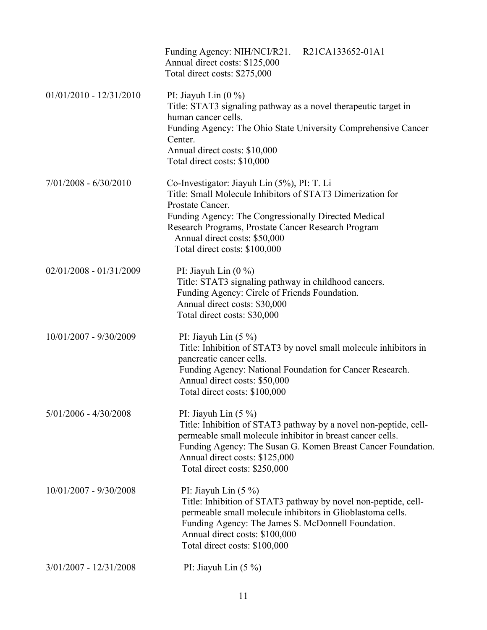|                           | Funding Agency: NIH/NCI/R21. R21CA133652-01A1<br>Annual direct costs: \$125,000<br>Total direct costs: \$275,000                                                                                                                                                                                               |
|---------------------------|----------------------------------------------------------------------------------------------------------------------------------------------------------------------------------------------------------------------------------------------------------------------------------------------------------------|
| $01/01/2010 - 12/31/2010$ | PI: Jiayuh Lin $(0\%)$<br>Title: STAT3 signaling pathway as a novel therapeutic target in<br>human cancer cells.<br>Funding Agency: The Ohio State University Comprehensive Cancer<br>Center.<br>Annual direct costs: \$10,000<br>Total direct costs: \$10,000                                                 |
| $7/01/2008 - 6/30/2010$   | Co-Investigator: Jiayuh Lin (5%), PI: T. Li<br>Title: Small Molecule Inhibitors of STAT3 Dimerization for<br>Prostate Cancer.<br>Funding Agency: The Congressionally Directed Medical<br>Research Programs, Prostate Cancer Research Program<br>Annual direct costs: \$50,000<br>Total direct costs: \$100,000 |
| $02/01/2008 - 01/31/2009$ | PI: Jiayuh Lin $(0\%)$<br>Title: STAT3 signaling pathway in childhood cancers.<br>Funding Agency: Circle of Friends Foundation.<br>Annual direct costs: \$30,000<br>Total direct costs: \$30,000                                                                                                               |
| 10/01/2007 - 9/30/2009    | PI: Jiayuh Lin $(5\%)$<br>Title: Inhibition of STAT3 by novel small molecule inhibitors in<br>pancreatic cancer cells.<br>Funding Agency: National Foundation for Cancer Research.<br>Annual direct costs: \$50,000<br>Total direct costs: \$100,000                                                           |
| $5/01/2006 - 4/30/2008$   | PI: Jiayuh Lin $(5\%)$<br>Title: Inhibition of STAT3 pathway by a novel non-peptide, cell-<br>permeable small molecule inhibitor in breast cancer cells.<br>Funding Agency: The Susan G. Komen Breast Cancer Foundation.<br>Annual direct costs: \$125,000<br>Total direct costs: \$250,000                    |
| 10/01/2007 - 9/30/2008    | PI: Jiayuh Lin $(5\%)$<br>Title: Inhibition of STAT3 pathway by novel non-peptide, cell-<br>permeable small molecule inhibitors in Glioblastoma cells.<br>Funding Agency: The James S. McDonnell Foundation.<br>Annual direct costs: \$100,000<br>Total direct costs: \$100,000                                |
| $3/01/2007 - 12/31/2008$  | PI: Jiayuh Lin $(5\%)$                                                                                                                                                                                                                                                                                         |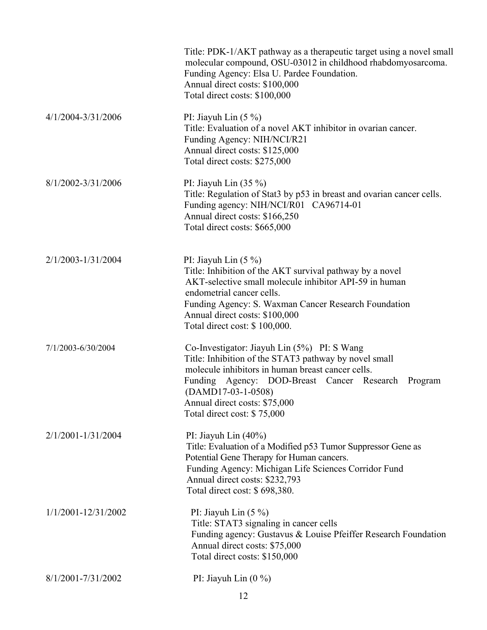|                     | Title: PDK-1/AKT pathway as a therapeutic target using a novel small<br>molecular compound, OSU-03012 in childhood rhabdomyosarcoma.<br>Funding Agency: Elsa U. Pardee Foundation.<br>Annual direct costs: \$100,000<br>Total direct costs: \$100,000                                                      |
|---------------------|------------------------------------------------------------------------------------------------------------------------------------------------------------------------------------------------------------------------------------------------------------------------------------------------------------|
| 4/1/2004-3/31/2006  | PI: Jiayuh Lin $(5\%)$<br>Title: Evaluation of a novel AKT inhibitor in ovarian cancer.<br>Funding Agency: NIH/NCI/R21<br>Annual direct costs: \$125,000<br>Total direct costs: \$275,000                                                                                                                  |
| 8/1/2002-3/31/2006  | PI: Jiayuh Lin $(35\%)$<br>Title: Regulation of Stat3 by p53 in breast and ovarian cancer cells.<br>Funding agency: NIH/NCI/R01 CA96714-01<br>Annual direct costs: \$166,250<br>Total direct costs: \$665,000                                                                                              |
| 2/1/2003-1/31/2004  | PI: Jiayuh Lin $(5\%)$<br>Title: Inhibition of the AKT survival pathway by a novel<br>AKT-selective small molecule inhibitor API-59 in human<br>endometrial cancer cells.<br>Funding Agency: S. Waxman Cancer Research Foundation<br>Annual direct costs: \$100,000<br>Total direct cost: \$100,000.       |
| 7/1/2003-6/30/2004  | Co-Investigator: Jiayuh Lin (5%) PI: S Wang<br>Title: Inhibition of the STAT3 pathway by novel small<br>molecule inhibitors in human breast cancer cells.<br>Funding Agency: DOD-Breast Cancer Research<br>Program<br>$(DAMD17-03-1-0508)$<br>Annual direct costs: \$75,000<br>Total direct cost: \$75,000 |
| 2/1/2001-1/31/2004  | PI: Jiayuh Lin $(40\%)$<br>Title: Evaluation of a Modified p53 Tumor Suppressor Gene as<br>Potential Gene Therapy for Human cancers.<br>Funding Agency: Michigan Life Sciences Corridor Fund<br>Annual direct costs: \$232,793<br>Total direct cost: \$698,380.                                            |
| 1/1/2001-12/31/2002 | PI: Jiayuh Lin $(5\%)$<br>Title: STAT3 signaling in cancer cells<br>Funding agency: Gustavus & Louise Pfeiffer Research Foundation<br>Annual direct costs: \$75,000<br>Total direct costs: \$150,000                                                                                                       |
| 8/1/2001-7/31/2002  | PI: Jiayuh Lin $(0\%)$                                                                                                                                                                                                                                                                                     |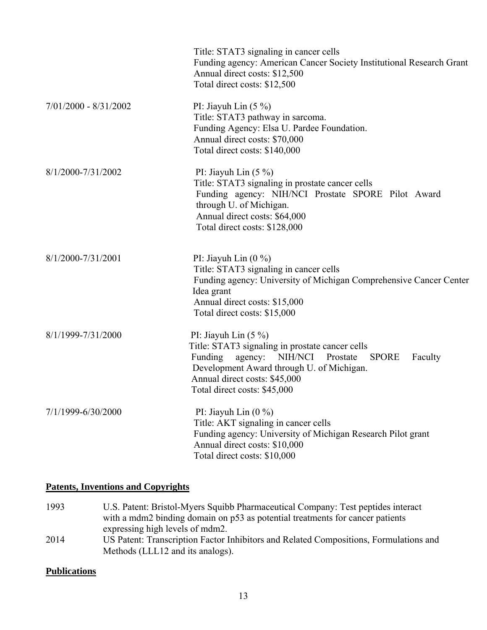|                         | Title: STAT3 signaling in cancer cells<br>Funding agency: American Cancer Society Institutional Research Grant<br>Annual direct costs: \$12,500<br>Total direct costs: \$12,500                                                                              |
|-------------------------|--------------------------------------------------------------------------------------------------------------------------------------------------------------------------------------------------------------------------------------------------------------|
| $7/01/2000 - 8/31/2002$ | PI: Jiayuh Lin $(5\%)$<br>Title: STAT3 pathway in sarcoma.<br>Funding Agency: Elsa U. Pardee Foundation.<br>Annual direct costs: \$70,000<br>Total direct costs: \$140,000                                                                                   |
| 8/1/2000-7/31/2002      | PI: Jiayuh Lin $(5\%)$<br>Title: STAT3 signaling in prostate cancer cells<br>Funding agency: NIH/NCI Prostate SPORE Pilot Award<br>through U. of Michigan.<br>Annual direct costs: \$64,000<br>Total direct costs: \$128,000                                 |
| 8/1/2000-7/31/2001      | PI: Jiayuh Lin $(0\%)$<br>Title: STAT3 signaling in cancer cells<br>Funding agency: University of Michigan Comprehensive Cancer Center<br>Idea grant<br>Annual direct costs: \$15,000<br>Total direct costs: \$15,000                                        |
| 8/1/1999-7/31/2000      | PI: Jiayuh Lin $(5\%)$<br>Title: STAT3 signaling in prostate cancer cells<br>agency: NIH/NCI<br>Prostate<br>Funding<br><b>SPORE</b><br>Faculty<br>Development Award through U. of Michigan.<br>Annual direct costs: \$45,000<br>Total direct costs: \$45,000 |
| 7/1/1999-6/30/2000      | PI: Jiayuh Lin $(0\%)$<br>Title: AKT signaling in cancer cells<br>Funding agency: University of Michigan Research Pilot grant<br>Annual direct costs: \$10,000<br>Total direct costs: \$10,000                                                               |

## **Patents, Inventions and Copyrights**

1993 U.S. Patent: Bristol-Myers Squibb Pharmaceutical Company: Test peptides interact with a mdm2 binding domain on p53 as potential treatments for cancer patients expressing high levels of mdm2. 2014 US Patent: Transcription Factor Inhibitors and Related Compositions, Formulations and Methods (LLL12 and its analogs).

### **Publications**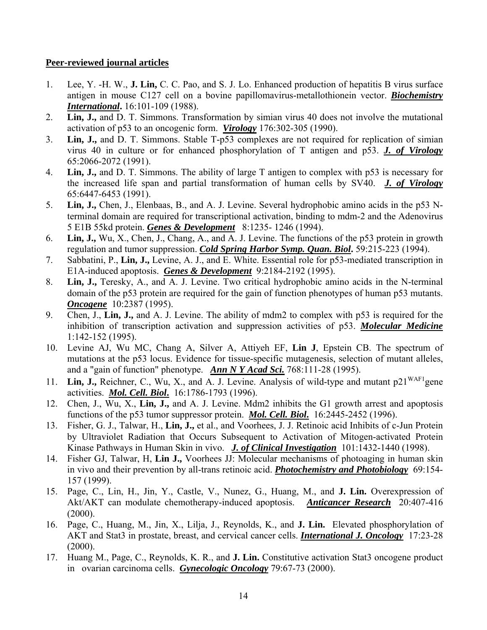#### **Peer-reviewed journal articles**

- 1. Lee, Y. -H. W., **J. Lin,** C. C. Pao, and S. J. Lo. Enhanced production of hepatitis B virus surface antigen in mouse C127 cell on a bovine papillomavirus-metallothionein vector. *Biochemistry International***.** 16:101-109 (1988).
- 2. **Lin, J.,** and D. T. Simmons. Transformation by simian virus 40 does not involve the mutational activation of p53 to an oncogenic form. *Virology* 176:302-305 (1990).
- 3. **Lin, J.,** and D. T. Simmons. Stable T-p53 complexes are not required for replication of simian virus 40 in culture or for enhanced phosphorylation of T antigen and p53. *J. of Virology* 65:2066-2072 (1991).
- 4. **Lin, J.,** and D. T. Simmons. The ability of large T antigen to complex with p53 is necessary for the increased life span and partial transformation of human cells by SV40. *J. of Virology* 65:6447-6453 (1991).
- 5. **Lin, J.,** Chen, J., Elenbaas, B., and A. J. Levine. Several hydrophobic amino acids in the p53 Nterminal domain are required for transcriptional activation, binding to mdm-2 and the Adenovirus 5 E1B 55kd protein. *Genes & Development* 8:1235- 1246 (1994).
- 6. **Lin, J.,** Wu, X., Chen, J., Chang, A., and A. J. Levine. The functions of the p53 protein in growth regulation and tumor suppression. *Cold Spring Harbor Symp. Quan. Biol***.** 59:215-223 (1994).
- 7. Sabbatini, P., **Lin, J.,** Levine, A. J., and E. White. Essential role for p53-mediated transcription in E1A-induced apoptosis. *Genes & Development* 9:2184-2192 (1995).
- 8. **Lin, J.,** Teresky, A., and A. J. Levine. Two critical hydrophobic amino acids in the N-terminal domain of the p53 protein are required for the gain of function phenotypes of human p53 mutants. *Oncogene* 10:2387 (1995).
- 9. Chen, J., **Lin, J.,** and A. J. Levine. The ability of mdm2 to complex with p53 is required for the inhibition of transcription activation and suppression activities of p53. *Molecular Medicine* 1:142-152 (1995).
- 10. Levine AJ, Wu MC, Chang A, Silver A, Attiyeh EF, **Lin J**, Epstein CB. The spectrum of mutations at the p53 locus. Evidence for tissue-specific mutagenesis, selection of mutant alleles, and a "gain of function" phenotype. *Ann N Y Acad Sci.* 768:111-28 (1995).
- 11. **Lin, J.,** Reichner, C., Wu, X., and A. J. Levine. Analysis of wild-type and mutant p21WAF1gene activities. *Mol. Cell. Biol***.** 16:1786-1793 (1996).
- 12. Chen, J., Wu, X., **Lin, J.,** and A. J. Levine. Mdm2 inhibits the G1 growth arrest and apoptosis functions of the p53 tumor suppressor protein. *Mol. Cell. Biol***.** 16:2445-2452 (1996).
- 13. Fisher, G. J., Talwar, H., **Lin, J.,** et al., and Voorhees, J. J. Retinoic acid Inhibits of c-Jun Protein by Ultraviolet Radiation that Occurs Subsequent to Activation of Mitogen-activated Protein Kinase Pathways in Human Skin in vivo. *J. of Clinical Investigation* 101:1432-1440 (1998).
- 14. Fisher GJ, Talwar, H, **Lin J.,** Voorhees JJ: Molecular mechanisms of photoaging in human skin in vivo and their prevention by all-trans retinoic acid. *Photochemistry and Photobiology* 69:154- 157 (1999).
- 15. Page, C., Lin, H., Jin, Y., Castle, V., Nunez, G., Huang, M., and **J. Lin.** Overexpression of Akt/AKT can modulate chemotherapy-induced apoptosis. *Anticancer Research* 20:407-416 (2000).
- 16. Page, C., Huang, M., Jin, X., Lilja, J., Reynolds, K., and **J. Lin.** Elevated phosphorylation of AKT and Stat3 in prostate, breast, and cervical cancer cells. *International J. Oncology* 17:23-28 (2000).
- 17. Huang M., Page, C., Reynolds, K. R., and **J. Lin.** Constitutive activation Stat3 oncogene product in ovarian carcinoma cells. *Gynecologic Oncology* 79:67-73 (2000).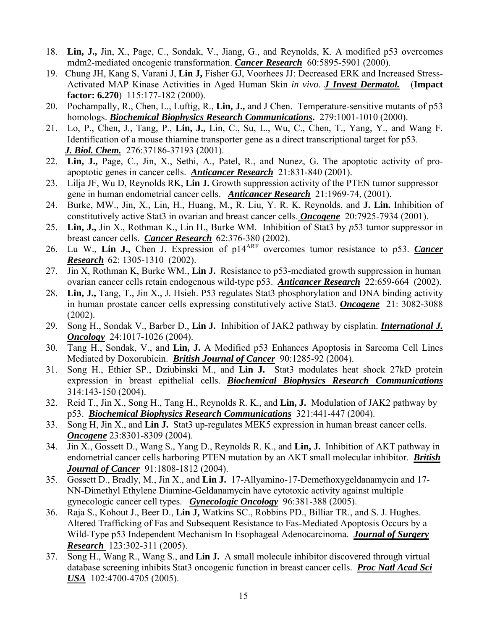- 18. **Lin, J.,** Jin, X., Page, C., Sondak, V., Jiang, G., and Reynolds, K. A modified p53 overcomes mdm2-mediated oncogenic transformation. *Cancer Research* 60:5895-5901 (2000).
- 19. Chung JH, Kang S, Varani J, **Lin J,** Fisher GJ, Voorhees JJ: Decreased ERK and Increased Stress-Activated MAP Kinase Activities in Aged Human Skin *in vivo*. *J Invest Dermatol.* (**Impact factor: 6.270**) 115:177-182 (2000).
- 20. Pochampally, R., Chen, L., Luftig, R., **Lin, J.,** and J Chen. Temperature-sensitive mutants of p53 homologs. *Biochemical Biophysics Research Communications***.** 279:1001-1010 (2000).
- 21. Lo, P., Chen, J., Tang, P., **Lin, J.,** Lin, C., Su, L., Wu, C., Chen, T., Yang, Y., and Wang F. Identification of a mouse thiamine transporter gene as a direct transcriptional target for p53.  *J. Biol. Chem.* 276:37186-37193 (2001).
- 22. **Lin, J.,** Page, C., Jin, X., Sethi, A., Patel, R., and Nunez, G. The apoptotic activity of proapoptotic genes in cancer cells. *Anticancer Research* 21:831-840 (2001).
- 23. Lilja JF, Wu D, Reynolds RK, **Lin J.** Growth suppression activity of the PTEN tumor suppressor gene in human endometrial cancer cells. *Anticancer Research* 21:1969-74, (2001).
- 24. Burke, MW., Jin, X., Lin, H., Huang, M., R. Liu, Y. R. K. Reynolds, and **J. Lin.** Inhibition of constitutively active Stat3 in ovarian and breast cancer cells. *Oncogene* 20:7925-7934 (2001).
- 25. **Lin, J.,** Jin X., Rothman K., Lin H., Burke WM. Inhibition of Stat3 by *p*53 tumor suppressor in breast cancer cells. *Cancer Research* 62:376-380 (2002).
- 26. Lu W., **Lin J.,** Chen J. Expression of p14ARF overcomes tumor resistance to p53. *Cancer Research* 62: 1305-1310 (2002).
- 27. Jin X, Rothman K, Burke WM., **Lin J.** Resistance to p53-mediated growth suppression in human ovarian cancer cells retain endogenous wild-type p53. *Anticancer Research* 22:659-664 (2002).
- 28. **Lin, J.,** Tang, T., Jin X., J. Hsieh. P53 regulates Stat3 phosphorylation and DNA binding activity in human prostate cancer cells expressing constitutively active Stat3. *Oncogene* 21: 3082-3088 (2002).
- 29. Song H., Sondak V., Barber D., **Lin J.** Inhibition of JAK2 pathway by cisplatin. *International J. Oncology*24:1017-1026 (2004).
- 30. Tang H., Sondak, V., and **Lin, J.** A Modified p53 Enhances Apoptosis in Sarcoma Cell Lines Mediated by Doxorubicin. *British Journal of Cancer* 90:1285-92 (2004).
- 31. Song H., Ethier SP., Dziubinski M., and **Lin J.** Stat3 modulates heat shock 27kD protein expression in breast epithelial cells. *Biochemical Biophysics Research Communications* 314:143-150 (2004).
- 32. Reid T., Jin X., Song H., Tang H., Reynolds R. K., and **Lin, J.** Modulation of JAK2 pathway by p53. *Biochemical Biophysics Research Communications* 321:441-447 (2004).
- 33. Song H, Jin X., and **Lin J.** Stat3 up-regulates MEK5 expression in human breast cancer cells. *Oncogene* 23:8301-8309 (2004).
- 34. Jin X., Gossett D., Wang S., Yang D., Reynolds R. K., and **Lin, J.** Inhibition of AKT pathway in endometrial cancer cells harboring PTEN mutation by an AKT small molecular inhibitor. *British*  *Journal of Cancer* 91:1808-1812 (2004).
- 35. Gossett D., Bradly, M., Jin X., and **Lin J.** 17-Allyamino-17-Demethoxygeldanamycin and 17- NN-Dimethyl Ethylene Diamine-Geldanamycin have cytotoxic activity against multiple gynecologic cancer cell types. *Gynecologic Oncology* 96:381-388 (2005).
- 36. Raja S., Kohout J., Beer D., **Lin J,** Watkins SC., Robbins PD., Billiar TR., and S. J. Hughes. Altered Trafficking of Fas and Subsequent Resistance to Fas-Mediated Apoptosis Occurs by a Wild-Type p53 Independent Mechanism In Esophageal Adenocarcinoma. *Journal of Surgery*  *Research* 123:302-311 (2005).
- 37. Song H., Wang R., Wang S., and **Lin J.** A small molecule inhibitor discovered through virtual database screening inhibits Stat3 oncogenic function in breast cancer cells. *Proc Natl Acad Sci USA* 102:4700-4705 (2005).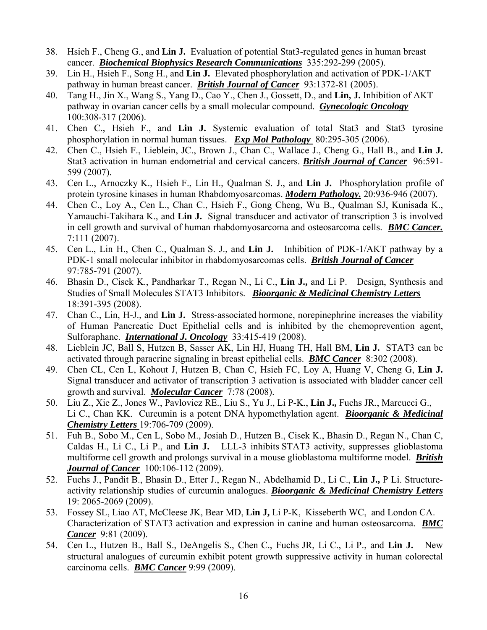- 38. Hsieh F., Cheng G., and **Lin J.** Evaluation of potential Stat3-regulated genes in human breast cancer. *Biochemical Biophysics Research Communications* 335:292-299 (2005).
- 39. Lin H., Hsieh F., Song H., and **Lin J.** Elevated phosphorylation and activation of PDK-1/AKT pathway in human breast cancer. *British Journal of Cancer* 93:1372-81 (2005).
- 40. Tang H., Jin X., Wang S., Yang D., Cao Y., Chen J., Gossett, D., and **Lin, J.** Inhibition of AKT pathway in ovarian cancer cells by a small molecular compound. *Gynecologic Oncology* 100:308-317 (2006).
- 41. Chen C., Hsieh F., and **Lin J.** Systemic evaluation of total Stat3 and Stat3 tyrosine phosphorylation in normal human tissues. *Exp Mol Pathology* 80:295-305 (2006).
- 42. Chen C., Hsieh F., Lieblein, JC., Brown J., Chan C., Wallace J., Cheng G., Hall B., and **Lin J.** Stat3 activation in human endometrial and cervical cancers. *British Journal of Cancer* 96:591- 599 (2007).
- 43. Cen L., Arnoczky K., Hsieh F., Lin H., Qualman S. J., and **Lin J.** Phosphorylation profile of protein tyrosine kinases in human Rhabdomyosarcomas. *Modern Pathology.* 20:936-946 (2007).
- 44. Chen C., Loy A., Cen L., Chan C., Hsieh F., Gong Cheng, Wu B., Qualman SJ, Kunisada K., Yamauchi-Takihara K., and **Lin J.** Signal transducer and activator of transcription 3 is involved in cell growth and survival of human rhabdomyosarcoma and osteosarcoma cells. *BMC Cancer.* 7:111 (2007).
- 45. Cen L., Lin H., Chen C., Qualman S. J., and **Lin J.** Inhibition of PDK-1/AKT pathway by a PDK-1 small molecular inhibitor in rhabdomyosarcomas cells. *British Journal of Cancer* 97:785-791 (2007).
- 46. Bhasin D., Cisek K., Pandharkar T., Regan N., Li C., **Lin J.,** and Li P. Design, Synthesis and Studies of Small Molecules STAT3 Inhibitors. *Bioorganic & Medicinal Chemistry Letters* 18:391-395 (2008).
- 47. Chan C., Lin, H-J., and **Lin J.** Stress-associated hormone, norepinephrine increases the viability of Human Pancreatic Duct Epithelial cells and is inhibited by the chemoprevention agent, Sulforaphane. *International J. Oncology* 33:415-419 (2008).
- 48. Lieblein JC, Ball S, Hutzen B, Sasser AK, Lin HJ, Huang TH, Hall BM, **Lin J.** STAT3 can be activated through paracrine signaling in breast epithelial cells. *BMC Cancer* 8:302 (2008).
- 49. Chen CL, Cen L, Kohout J, Hutzen B, Chan C, Hsieh FC, Loy A, Huang V, Cheng G, **Lin J.** Signal transducer and activator of transcription 3 activation is associated with bladder cancer cell growth and survival. *Molecular Cancer* 7:78 (2008).
- 50. Liu Z., Xie Z., Jones W., Pavlovicz RE., Liu S., Yu J., Li P-K., **Lin J.,** Fuchs JR., Marcucci G., Li C., Chan KK. Curcumin is a potent DNA hypomethylation agent. *Bioorganic & Medicinal Chemistry Letters* 19:706-709 (2009).
- 51. Fuh B., Sobo M., Cen L, Sobo M., Josiah D., Hutzen B., Cisek K., Bhasin D., Regan N., Chan C, Caldas H., Li C., Li P., and **Lin J.** LLL-3 inhibits STAT3 activity, suppresses glioblastoma multiforme cell growth and prolongs survival in a mouse glioblastoma multiforme model. *British Journal of Cancer* 100:106-112 (2009).
- 52. Fuchs J., Pandit B., Bhasin D., Etter J., Regan N., Abdelhamid D., Li C., **Lin J.,** P Li. Structureactivity relationship studies of curcumin analogues. *Bioorganic & Medicinal Chemistry Letters* 19: 2065-2069 (2009).
- 53. Fossey SL, Liao AT, McCleese JK, Bear MD, **Lin J,** Li P-K, Kisseberth WC, and London CA. Characterization of STAT3 activation and expression in canine and human osteosarcoma. *BMC Cancer* 9:81 (2009).
- 54. Cen L., Hutzen B., Ball S., DeAngelis S., Chen C., Fuchs JR, Li C., Li P., and **Lin J.** New structural analogues of curcumin exhibit potent growth suppressive activity in human colorectal carcinoma cells. *BMC Cancer* 9:99 (2009).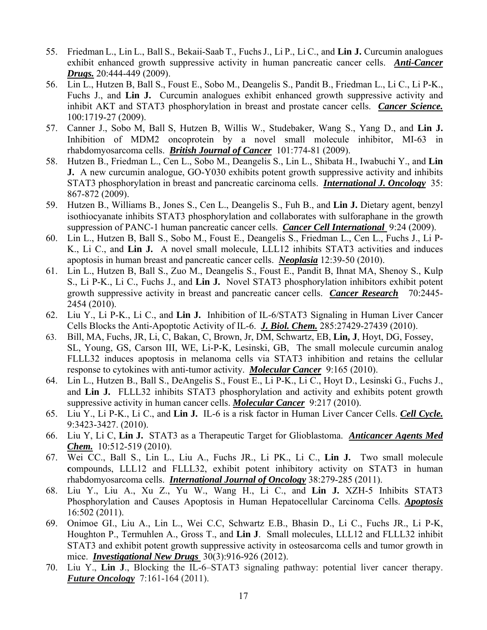- 55. Friedman L., Lin L., Ball S., Bekaii-Saab T., FuchsJ., Li P., Li C., and **Lin J.** Curcumin analogues exhibit enhanced growth suppressive activity in human pancreatic cancer cells. *Anti-Cancer Drugs.* 20:444-449 (2009).
- 56. Lin L., Hutzen B, Ball S., Foust E., Sobo M., Deangelis S., Pandit B., Friedman L., Li C., Li P-K., Fuchs J., and **Lin J.** Curcumin analogues exhibit enhanced growth suppressive activity and inhibit AKT and STAT3 phosphorylation in breast and prostate cancer cells. *Cancer Science.* 100:1719-27 (2009).
- 57. Canner J., Sobo M, Ball S, Hutzen B, Willis W., Studebaker, Wang S., Yang D., and **Lin J.** Inhibition of MDM2 oncoprotein by a novel small molecule inhibitor, MI-63 in rhabdomyosarcoma cells. *British Journal of Cancer* 101:774-81 (2009).
- 58. Hutzen B., Friedman L., Cen L., Sobo M., Deangelis S., Lin L., Shibata H., Iwabuchi Y., and **Lin J.** A new curcumin analogue, GO-Y030 exhibits potent growth suppressive activity and inhibits STAT3 phosphorylation in breast and pancreatic carcinoma cells. *International J. Oncology*35: 867-872 (2009).
- 59. Hutzen B., Williams B., Jones S., Cen L., Deangelis S., Fuh B., and **Lin J.** Dietary agent, benzyl isothiocyanate inhibits STAT3 phosphorylation and collaborates with sulforaphane in the growth suppression of PANC-1 human pancreatic cancer cells. *Cancer Cell International* 9:24 (2009).
- 60. Lin L., Hutzen B, Ball S., Sobo M., Foust E., Deangelis S., Friedman L., Cen L., Fuchs J., Li P-K., Li C., and **Lin J.** A novel small molecule, LLL12 inhibits STAT3 activities and induces apoptosis in human breast and pancreatic cancer cells. *Neoplasia* 12:39-50 (2010).
- 61. Lin L., Hutzen B, Ball S., Zuo M., Deangelis S., Foust E., Pandit B, Ihnat MA, Shenoy S., Kulp S., Li P-K., Li C., Fuchs J., and **Lin J.** Novel STAT3 phosphorylation inhibitors exhibit potent growth suppressive activity in breast and pancreatic cancer cells. *Cancer Research* 70:2445- 2454 (2010).
- 62. Liu Y., Li P-K., Li C., and **Lin J.** Inhibition of IL-6/STAT3 Signaling in Human Liver Cancer Cells Blocks the Anti-Apoptotic Activity of IL-6. *J. Biol. Chem.* 285:27429-27439 (2010).
- 63. Bill, MA, Fuchs, JR, Li, C, Bakan, C, Brown, Jr, DM, Schwartz, EB, **Lin, J**, Hoyt, DG, Fossey, SL, Young, GS, Carson III, WE, Li-P-K, Lesinski, GB, The small molecule curcumin analog FLLL32 induces apoptosis in melanoma cells via STAT3 inhibition and retains the cellular response to cytokines with anti-tumor activity. *Molecular Cancer* 9:165 (2010).
- 64. Lin L., Hutzen B., Ball S., DeAngelis S., Foust E., Li P-K., Li C., Hoyt D., Lesinski G., Fuchs J., and **Lin J.** FLLL32 inhibits STAT3 phosphorylation and activity and exhibits potent growth suppressive activity in human cancer cells. *Molecular Cancer* 9:217 (2010).
- 65. Liu Y., Li P-K., Li C., and **Lin J.** IL-6 is a risk factor in Human Liver Cancer Cells. *Cell Cycle.* 9:3423-3427. (2010).
- 66. Liu Y, Li C, **Lin J.** STAT3 as a Therapeutic Target for Glioblastoma. *Anticancer Agents Med Chem.* 10:512-519 (2010).
- 67. Wei CC., Ball S., Lin L., Liu A., Fuchs JR., Li PK., Li C., **Lin J.** Two small molecule **c**ompounds, LLL12 and FLLL32, exhibit potent inhibitory activity on STAT3 in human rhabdomyosarcoma cells. *International Journal of Oncology* 38:279-285 (2011).
- 68. Liu Y., Liu A., Xu Z., Yu W., Wang H., Li C., and **Lin J.** XZH-5 Inhibits STAT3 Phosphorylation and Causes Apoptosis in Human Hepatocellular Carcinoma Cells. *Apoptosis* 16:502 (2011).
- 69. Onimoe GI., Liu A., Lin L., Wei C.C, Schwartz E.B., Bhasin D., Li C., Fuchs JR., Li P-K, Houghton P., Termuhlen A., Gross T., and **Lin J**. Small molecules, LLL12 and FLLL32 inhibit STAT3 and exhibit potent growth suppressive activity in osteosarcoma cells and tumor growth in mice. *Investigational New Drugs* 30(3):916-926 (2012).
- 70. Liu Y., **Lin J**., Blocking the IL-6–STAT3 signaling pathway: potential liver cancer therapy. *Future Oncology*7:161-164 (2011).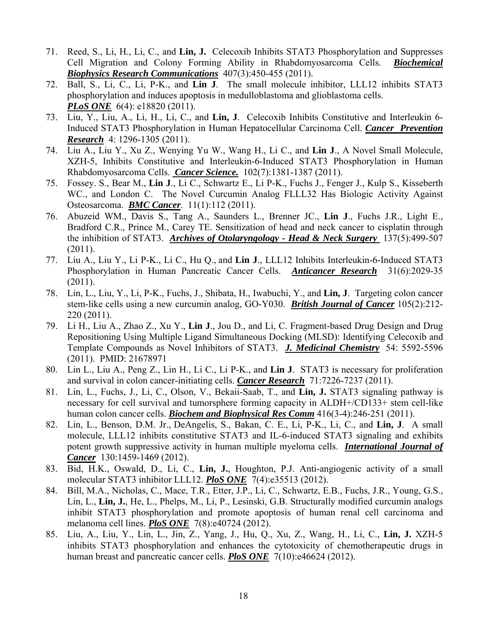- 71. Reed, S., Li, H., Li, C., and **Lin, J.** Celecoxib Inhibits STAT3 Phosphorylation and Suppresses Cell Migration and Colony Forming Ability in Rhabdomyosarcoma Cells. *Biochemical Biophysics Research Communications* 407(3):450-455 (2011).
- 72. Ball, S., Li, C., Li, P-K., and **Lin J**. The small molecule inhibitor, LLL12 inhibits STAT3 phosphorylation and induces apoptosis in medulloblastoma and glioblastoma cells. *PLoS ONE* 6(4): e18820 (2011).
- 73. Liu, Y., Liu, A., Li, H., Li, C., and **Lin, J**. Celecoxib Inhibits Constitutive and Interleukin 6- Induced STAT3 Phosphorylation in Human Hepatocellular Carcinoma Cell. *Cancer Prevention Research* 4: 1296-1305 (2011).
- 74. Liu A., Liu Y., Xu Z., Wenying Yu W., Wang H., Li C., and **Lin J**., A Novel Small Molecule, XZH-5, Inhibits Constitutive and Interleukin-6-Induced STAT3 Phosphorylation in Human Rhabdomyosarcoma Cells. *Cancer Science.* 102(7):1381-1387 (2011).
- 75. Fossey. S., Bear M., **Lin J**., Li C., Schwartz E., Li P-K., Fuchs J., Fenger J., Kulp S., Kisseberth W.C., and London C. The Novel Curcumin Analog FLLL32 Has Biologic Activity Against Osteosarcoma. *BMC Cancer*. 11(1):112 (2011).
- 76. Abuzeid WM., Davis S., Tang A., Saunders L., Brenner JC., **Lin J**., Fuchs J.R., Light E., Bradford C.R., Prince M., Carey TE. Sensitization of head and neck cancer to cisplatin through the inhibition of STAT3. *Archives of Otolaryngology - Head & Neck Surgery* 137(5):499-507 (2011).
- 77. Liu A., Liu Y., Li P-K., Li C., Hu Q., and **Lin J**., LLL12 Inhibits Interleukin-6-Induced STAT3 Phosphorylation in Human Pancreatic Cancer Cells. *Anticancer Research* 31(6):2029-35  $(2011).$
- 78. Lin, L., Liu, Y., Li, P-K., Fuchs, J., Shibata, H., Iwabuchi, Y., and **Lin, J**. Targeting colon cancer stem-like cells using a new curcumin analog, GO-Y030. *British Journal of Cancer* 105(2):212- 220 (2011).
- 79. Li H., Liu A., Zhao Z., Xu Y., **Lin J**., Jou D., and Li, C. Fragment-based Drug Design and Drug Repositioning Using Multiple Ligand Simultaneous Docking (MLSD): Identifying Celecoxib and Template Compounds as Novel Inhibitors of STAT3. *J. Medicinal Chemistry*54: 5592-5596 (2011). PMID: 21678971
- 80. Lin L., Liu A., Peng Z., Lin H., Li C., Li P-K., and **Lin J**. STAT3 is necessary for proliferation and survival in colon cancer-initiating cells. *Cancer Research* 71:7226-7237 (2011).
- 81. Lin, L., Fuchs, J., Li, C., Olson, V., Bekaii-Saab, T., and **Lin, J.** STAT3 signaling pathway is necessary for cell survival and tumorsphere forming capacity in ALDH+/CD133+ stem cell-like human colon cancer cells. *Biochem and Biophysical Res Comm* 416(3-4):246-251 (2011).
- 82. Lin, L., Benson, D.M. Jr., DeAngelis, S., Bakan, C. E., Li, P-K., Li, C., and **Lin, J**. A small molecule, LLL12 inhibits constitutive STAT3 and IL-6-induced STAT3 signaling and exhibits potent growth suppressive activity in human multiple myeloma cells. *International Journal of Cancer* 130:1459-1469 (2012).
- 83. Bid, H.K., Oswald, D., Li, C., **Lin, J.**, Houghton, P.J. Anti-angiogenic activity of a small molecular STAT3 inhibitor LLL12. *PloS ONE* 7(4):e35513 (2012).
- 84. Bill, M.A., Nicholas, C., Mace, T.R., Etter, J.P., Li, C., Schwartz, E.B., Fuchs, J.R., Young, G.S., Lin, L., **Lin, J.**, He, L., Phelps, M., Li, P., Lesinski, G.B. Structurally modified curcumin analogs inhibit STAT3 phosphorylation and promote apoptosis of human renal cell carcinoma and melanoma cell lines. *PloS ONE* 7(8):e40724 (2012).
- 85. Liu, A., Liu, Y., Lin, L., Jin, Z., Yang, J., Hu, Q., Xu, Z., Wang, H., Li, C., **Lin, J.** XZH-5 inhibits STAT3 phosphorylation and enhances the cytotoxicity of chemotherapeutic drugs in human breast and pancreatic cancer cells. *PloS ONE* 7(10):e46624 (2012).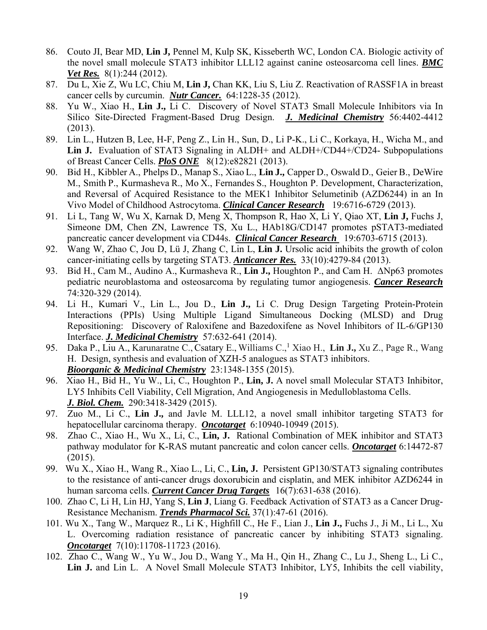- 86. Couto JI, Bear MD, **Lin J,** Pennel M, Kulp SK, Kisseberth WC, London CA. Biologic activity of the novel small molecule STAT3 inhibitor LLL12 against canine osteosarcoma cell lines. *BMC Vet Res.* 8(1):244 (2012).
- 87. Du L, Xie Z, Wu LC, Chiu M, **Lin J,** Chan KK, Liu S, Liu Z. Reactivation of RASSF1A in breast cancer cells by curcumin. *Nutr Cancer.* 64:1228-35 (2012).
- 88. Yu W., Xiao H., **Lin J.,** Li C. Discovery of Novel STAT3 Small Molecule Inhibitors via In Silico Site-Directed Fragment-Based Drug Design. *J. Medicinal Chemistry* 56:4402-4412 (2013).
- 89. Lin L., Hutzen B, Lee, H-F, Peng Z., Lin H., Sun, D., Li P-K., Li C., Korkaya, H., Wicha M., and Lin J. Evaluation of STAT3 Signaling in ALDH+ and ALDH+/CD44+/CD24- Subpopulations of Breast Cancer Cells. *PloS ONE* 8(12):e82821 (2013).
- 90. Bid H., Kibbler A., Phelps D., Manap S., Xiao L., **Lin J.,** Capper D., Oswald D., Geier B., DeWire M., Smith P., Kurmasheva R., Mo X., Fernandes S., Houghton P. Development, Characterization, and Reversal of Acquired Resistance to the MEK1 Inhibitor Selumetinib (AZD6244) in an In Vivo Model of Childhood Astrocytoma. *Clinical Cancer Research* 19:6716-6729 (2013).
- 91. Li L, Tang W, Wu X, Karnak D, Meng X, Thompson R, Hao X, Li Y, Qiao XT, **Lin J,** Fuchs J, Simeone DM, Chen ZN, Lawrence TS, Xu L., HAb18G/CD147 promotes pSTAT3-mediated pancreatic cancer development via CD44s. *Clinical Cancer Research* 19:6703-6715 (2013).
- 92. Wang W, Zhao C, Jou D, Lü J, Zhang C, Lin L, **Lin J.** Ursolic acid inhibits the growth of colon cancer-initiating cells by targeting STAT3. *Anticancer Res.* 33(10):4279-84 (2013).
- 93. Bid H., Cam M., Audino A., Kurmasheva R., **Lin J.,** Houghton P., and Cam H. ΔNp63 promotes pediatric neuroblastoma and osteosarcoma by regulating tumor angiogenesis. *Cancer Research* 74:320-329 (2014).
- 94. Li H., Kumari V., Lin L., Jou D., **Lin J.,** Li C. Drug Design Targeting Protein-Protein Interactions (PPIs) Using Multiple Ligand Simultaneous Docking (MLSD) and Drug Repositioning: Discovery of Raloxifene and Bazedoxifene as Novel Inhibitors of IL-6/GP130 Interface. *J. Medicinal Chemistry* 57:632-641 (2014).
- 95. Daka P., Liu A., Karunaratne C., Csatary E., Williams C.,<sup>1</sup> Xiao H., Lin J., Xu Z., Page R., Wang H. Design, synthesis and evaluation of XZH-5 analogues as STAT3 inhibitors. *Bioorganic & Medicinal Chemistry* 23:1348-1355 (2015).
- 96. Xiao H., Bid H., Yu W., Li, C., Houghton P., **Lin, J.** A novel small Molecular STAT3 Inhibitor, LY5 Inhibits Cell Viability, Cell Migration, And Angiogenesis in Medulloblastoma Cells. *J. Biol. Chem.* 290:3418-3429 (2015).
- 97. Zuo M., Li C., **Lin J.,** and Javle M. LLL12, a novel small inhibitor targeting STAT3 for hepatocellular carcinoma therapy. *Oncotarget* 6:10940-10949 (2015).
- 98. Zhao C., Xiao H., Wu X., Li, C., **Lin, J.** Rational Combination of MEK inhibitor and STAT3 pathway modulator for K-RAS mutant pancreatic and colon cancer cells. *Oncotarget* 6:14472-87 (2015).
- 99. Wu X., Xiao H., Wang R., Xiao L., Li, C., **Lin, J.** Persistent GP130/STAT3 signaling contributes to the resistance of anti-cancer drugs doxorubicin and cisplatin, and MEK inhibitor AZD6244 in human sarcoma cells. *Current Cancer Drug Targets* 16(7):631-638 (2016).
- 100. Zhao C, Li H, Lin HJ, Yang S, **Lin J**, Liang G. Feedback Activation of STAT3 as a Cancer Drug-Resistance Mechanism. *Trends Pharmacol Sci.* 37(1):47-61 (2016).
- 101. Wu X., Tang W., Marquez R., Li K. , Highfill C., He F., Lian J., **Lin J.,** Fuchs J., Ji M., Li L., Xu L. Overcoming radiation resistance of pancreatic cancer by inhibiting STAT3 signaling. *Oncotarget* 7(10):11708-11723 (2016).
- 102. Zhao C., Wang W., Yu W., Jou D., Wang Y., Ma H., Qin H., Zhang C., Lu J., Sheng L., Li C., Lin J. and Lin L. A Novel Small Molecule STAT3 Inhibitor, LY5, Inhibits the cell viability,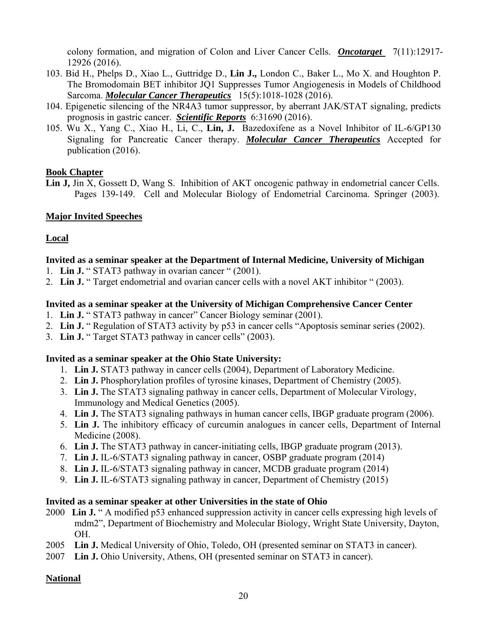colony formation, and migration of Colon and Liver Cancer Cells. **Oncotarget** 7(11):12917-12926 (2016).

- 103. Bid H., Phelps D., Xiao L., Guttridge D., **Lin J.,** London C., Baker L., Mo X. and Houghton P. The Bromodomain BET inhibitor JQ1 Suppresses Tumor Angiogenesis in Models of Childhood Sarcoma. *Molecular Cancer Therapeutics*15(5):1018-1028 (2016).
- 104. Epigenetic silencing of the NR4A3 tumor suppressor, by aberrant JAK/STAT signaling, predicts prognosis in gastric cancer. *Scientific Reports* 6:31690 (2016).
- 105. Wu X., Yang C., Xiao H., Li, C., **Lin, J.** Bazedoxifene as a Novel Inhibitor of IL-6/GP130 Signaling for Pancreatic Cancer therapy. *Molecular Cancer Therapeutics* Accepted for publication (2016).

### **Book Chapter**

Lin J, Jin X, Gossett D, Wang S. Inhibition of AKT oncogenic pathway in endometrial cancer Cells. Pages 139-149. Cell and Molecular Biology of Endometrial Carcinoma. Springer (2003).

## **Major Invited Speeches**

### **Local**

### **Invited as a seminar speaker at the Department of Internal Medicine, University of Michigan**

- 1. **Lin J.** " STAT3 pathway in ovarian cancer " (2001).
- 2. **Lin J.** " Target endometrial and ovarian cancer cells with a novel AKT inhibitor " (2003).

### **Invited as a seminar speaker at the University of Michigan Comprehensive Cancer Center**

- 1. **Lin J.** " STAT3 pathway in cancer" Cancer Biology seminar (2001).
- 2. **Lin J.** " Regulation of STAT3 activity by p53 in cancer cells "Apoptosis seminar series (2002).
- 3. **Lin J.** " Target STAT3 pathway in cancer cells" (2003).

### **Invited as a seminar speaker at the Ohio State University:**

- 1. **Lin J.** STAT3 pathway in cancer cells (2004), Department of Laboratory Medicine.
- 2. **Lin J.** Phosphorylation profiles of tyrosine kinases, Department of Chemistry (2005).
- 3. **Lin J.** The STAT3 signaling pathway in cancer cells, Department of Molecular Virology, Immunology and Medical Genetics (2005).
- 4. **Lin J.** The STAT3 signaling pathways in human cancer cells, IBGP graduate program (2006).
- 5. **Lin J.** The inhibitory efficacy of curcumin analogues in cancer cells, Department of Internal Medicine (2008).
- 6. **Lin J.** The STAT3 pathway in cancer-initiating cells, IBGP graduate program (2013).
- 7. **Lin J.** IL-6/STAT3 signaling pathway in cancer, OSBP graduate program (2014)
- 8. **Lin J.** IL-6/STAT3 signaling pathway in cancer, MCDB graduate program (2014)
- 9. **Lin J.** IL-6/STAT3 signaling pathway in cancer, Department of Chemistry (2015)

### **Invited as a seminar speaker at other Universities in the state of Ohio**

- 2000 **Lin J.** " A modified p53 enhanced suppression activity in cancer cells expressing high levels of mdm2", Department of Biochemistry and Molecular Biology, Wright State University, Dayton, OH.
- 2005 **Lin J.** Medical University of Ohio, Toledo, OH (presented seminar on STAT3 in cancer).
- 2007 **Lin J.** Ohio University, Athens, OH (presented seminar on STAT3 in cancer).

## **National**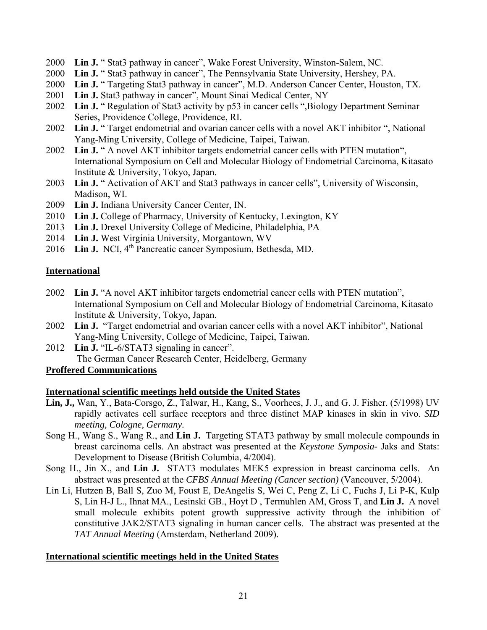- 2000 **Lin J.** " Stat3 pathway in cancer", Wake Forest University, Winston-Salem, NC.
- 2000 **Lin J.** " Stat3 pathway in cancer", The Pennsylvania State University, Hershey, PA.
- 2000 **Lin J.** " Targeting Stat3 pathway in cancer", M.D. Anderson Cancer Center, Houston, TX.
- 2001 **Lin J.** Stat3 pathway in cancer", Mount Sinai Medical Center, NY
- 2002 **Lin J.** " Regulation of Stat3 activity by p53 in cancer cells ",Biology Department Seminar Series, Providence College, Providence, RI.
- 2002 **Lin J.** " Target endometrial and ovarian cancer cells with a novel AKT inhibitor ", National Yang-Ming University, College of Medicine, Taipei, Taiwan.
- 2002 **Lin J.** " A novel AKT inhibitor targets endometrial cancer cells with PTEN mutation", International Symposium on Cell and Molecular Biology of Endometrial Carcinoma, Kitasato Institute & University, Tokyo, Japan.
- 2003 **Lin J.** " Activation of AKT and Stat3 pathways in cancer cells", University of Wisconsin, Madison, WI.
- 2009 **Lin J.** Indiana University Cancer Center, IN.
- 2010 **Lin J.** College of Pharmacy, University of Kentucky, Lexington, KY
- 2013 **Lin J.** Drexel University College of Medicine, Philadelphia, PA
- 2014 **Lin J.** West Virginia University, Morgantown, WV
- 2016 **Lin J.** NCI, 4<sup>th</sup> Pancreatic cancer Symposium, Bethesda, MD.

## **International**

- 2002 **Lin J.** "A novel AKT inhibitor targets endometrial cancer cells with PTEN mutation", International Symposium on Cell and Molecular Biology of Endometrial Carcinoma, Kitasato Institute & University, Tokyo, Japan.
- 2002 **Lin J.** "Target endometrial and ovarian cancer cells with a novel AKT inhibitor", National Yang-Ming University, College of Medicine, Taipei, Taiwan.
- 2012 **Lin J.** "IL-6/STAT3 signaling in cancer". The German Cancer Research Center, Heidelberg, Germany

## **Proffered Communications**

### **International scientific meetings held outside the United States**

- **Lin, J.,** Wan, Y., Bata-Corsgo, Z., Talwar, H., Kang, S., Voorhees, J. J., and G. J. Fisher. (5/1998) UV rapidly activates cell surface receptors and three distinct MAP kinases in skin in vivo. *SID meeting, Cologne, Germany.*
- Song H., Wang S., Wang R., and **Lin J.** Targeting STAT3 pathway by small molecule compounds in breast carcinoma cells. An abstract was presented at the *Keystone Symposia-* Jaks and Stats: Development to Disease (British Columbia, 4/2004).
- Song H., Jin X., and **Lin J.** STAT3 modulates MEK5 expression in breast carcinoma cells. An abstract was presented at the *CFBS Annual Meeting (Cancer section)* (Vancouver, 5/2004).
- Lin Li, Hutzen B, Ball S, Zuo M, Foust E, DeAngelis S, Wei C, Peng Z, Li C, Fuchs J, Li P-K, Kulp S, Lin H-J L., Ihnat MA., Lesinski GB., Hoyt D , Termuhlen AM, Gross T, and **Lin J.** A novel small molecule exhibits potent growth suppressive activity through the inhibition of constitutive JAK2/STAT3 signaling in human cancer cells. The abstract was presented at the *TAT Annual Meeting* (Amsterdam, Netherland 2009).

### **International scientific meetings held in the United States**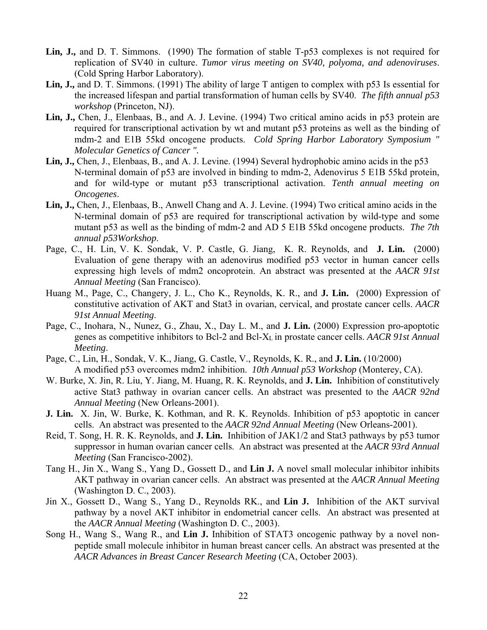- **Lin, J.,** and D. T. Simmons. (1990) The formation of stable T-p53 complexes is not required for replication of SV40 in culture. *Tumor virus meeting on SV40, polyoma, and adenoviruses*. (Cold Spring Harbor Laboratory).
- **Lin, J.,** and D. T. Simmons. (1991) The ability of large T antigen to complex with p53 Is essential for the increased lifespan and partial transformation of human cells by SV40. *The fifth annual p53 workshop* (Princeton, NJ).
- **Lin, J.,** Chen, J., Elenbaas, B., and A. J. Levine. (1994) Two critical amino acids in p53 protein are required for transcriptional activation by wt and mutant p53 proteins as well as the binding of mdm-2 and E1B 55kd oncogene products. *Cold Spring Harbor Laboratory Symposium " Molecular Genetics of Cancer ".*
- **Lin, J.,** Chen, J., Elenbaas, B., and A. J. Levine. (1994) Several hydrophobic amino acids in the p53 N-terminal domain of p53 are involved in binding to mdm-2, Adenovirus 5 E1B 55kd protein, and for wild-type or mutant p53 transcriptional activation. *Tenth annual meeting on Oncogenes*.
- **Lin, J.,** Chen, J., Elenbaas, B., Anwell Chang and A. J. Levine. (1994) Two critical amino acids in the N-terminal domain of p53 are required for transcriptional activation by wild-type and some mutant p53 as well as the binding of mdm-2 and AD 5 E1B 55kd oncogene products. *The 7th annual p53Workshop*.
- Page, C., H. Lin, V. K. Sondak, V. P. Castle, G. Jiang, K. R. Reynolds, and **J. Lin.** (2000) Evaluation of gene therapy with an adenovirus modified p53 vector in human cancer cells expressing high levels of mdm2 oncoprotein. An abstract was presented at the *AACR 91st Annual Meeting* (San Francisco).
- Huang M., Page, C., Changery, J. L., Cho K., Reynolds, K. R., and **J. Lin.** (2000) Expression of constitutive activation of AKT and Stat3 in ovarian, cervical, and prostate cancer cells. *AACR 91st Annual Meeting*.
- Page, C., Inohara, N., Nunez, G., Zhau, X., Day L. M., and **J. Lin.** (2000) Expression pro-apoptotic genes as competitive inhibitors to Bcl-2 and Bcl-XL in prostate cancer cells. *AACR 91st Annual Meeting*.
- Page, C., Lin, H., Sondak, V. K., Jiang, G. Castle, V., Reynolds, K. R., and **J. Lin.** (10/2000) A modified p53 overcomes mdm2 inhibition. *10th Annual p53 Workshop* (Monterey, CA).
- W. Burke, X. Jin, R. Liu, Y. Jiang, M. Huang, R. K. Reynolds, and **J. Lin.** Inhibition of constitutively active Stat3 pathway in ovarian cancer cells. An abstract was presented to the *AACR 92nd Annual Meeting* (New Orleans-2001).
- **J. Lin.** X. Jin, W. Burke, K. Kothman, and R. K. Reynolds. Inhibition of p53 apoptotic in cancer cells. An abstract was presented to the *AACR 92nd Annual Meeting* (New Orleans-2001).
- Reid, T. Song, H. R. K. Reynolds, and **J. Lin.** Inhibition of JAK1/2 and Stat3 pathways by p53 tumor suppressor in human ovarian cancer cells. An abstract was presented at the *AACR 93rd Annual Meeting* (San Francisco-2002).
- Tang H., Jin X., Wang S., Yang D., Gossett D., and **Lin J.** A novel small molecular inhibitor inhibits AKT pathway in ovarian cancer cells. An abstract was presented at the *AACR Annual Meeting* (Washington D. C., 2003).
- Jin X., Gossett D., Wang S., Yang D., Reynolds RK., and **Lin J.** Inhibition of the AKT survival pathway by a novel AKT inhibitor in endometrial cancer cells. An abstract was presented at the *AACR Annual Meeting* (Washington D. C., 2003).
- Song H., Wang S., Wang R., and **Lin J.** Inhibition of STAT3 oncogenic pathway by a novel nonpeptide small molecule inhibitor in human breast cancer cells. An abstract was presented at the *AACR Advances in Breast Cancer Research Meeting* (CA, October 2003).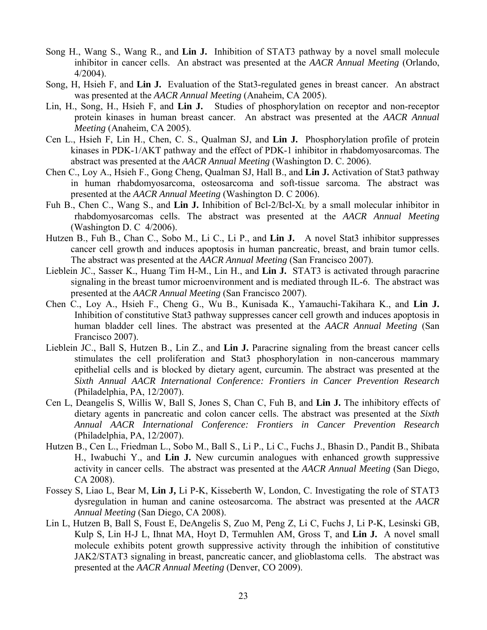- Song H., Wang S., Wang R., and **Lin J.** Inhibition of STAT3 pathway by a novel small molecule inhibitor in cancer cells. An abstract was presented at the *AACR Annual Meeting* (Orlando, 4/2004).
- Song, H, Hsieh F, and **Lin J.** Evaluation of the Stat3-regulated genes in breast cancer. An abstract was presented at the *AACR Annual Meeting* (Anaheim, CA 2005).
- Lin, H., Song, H., Hsieh F, and **Lin J.** Studies of phosphorylation on receptor and non-receptor protein kinases in human breast cancer. An abstract was presented at the *AACR Annual Meeting* (Anaheim, CA 2005).
- Cen L., Hsieh F, Lin H., Chen, C. S., Qualman SJ, and **Lin J.** Phosphorylation profile of protein kinases in PDK-1/AKT pathway and the effect of PDK-1 inhibitor in rhabdomyosarcomas. The abstract was presented at the *AACR Annual Meeting* (Washington D. C. 2006).
- Chen C., Loy A., Hsieh F., Gong Cheng, Qualman SJ, Hall B., and **Lin J.** Activation of Stat3 pathway in human rhabdomyosarcoma, osteosarcoma and soft-tissue sarcoma. The abstract was presented at the *AACR Annual Meeting* (Washington D. C 2006).
- Fuh B., Chen C., Wang S., and **Lin J.** Inhibition of Bcl-2/Bcl-XL by a small molecular inhibitor in rhabdomyosarcomas cells. The abstract was presented at the *AACR Annual Meeting* (Washington D. C 4/2006).
- Hutzen B., Fuh B., Chan C., Sobo M., Li C., Li P., and **Lin J.** A novel Stat3 inhibitor suppresses cancer cell growth and induces apoptosis in human pancreatic, breast, and brain tumor cells. The abstract was presented at the *AACR Annual Meeting* (San Francisco 2007).
- Lieblein JC., Sasser K., Huang Tim H-M., Lin H., and **Lin J.** STAT3 is activated through paracrine signaling in the breast tumor microenvironment and is mediated through IL-6. The abstract was presented at the *AACR Annual Meeting* (San Francisco 2007).
- Chen C., Loy A., Hsieh F., Cheng G., Wu B., Kunisada K., Yamauchi-Takihara K., and **Lin J.** Inhibition of constitutive Stat3 pathway suppresses cancer cell growth and induces apoptosis in human bladder cell lines. The abstract was presented at the *AACR Annual Meeting* (San Francisco 2007).
- Lieblein JC., Ball S, Hutzen B., Lin Z., and **Lin J.** Paracrine signaling from the breast cancer cells stimulates the cell proliferation and Stat3 phosphorylation in non-cancerous mammary epithelial cells and is blocked by dietary agent, curcumin. The abstract was presented at the *Sixth Annual AACR International Conference: Frontiers in Cancer Prevention Research* (Philadelphia, PA, 12/2007).
- Cen L, Deangelis S, Willis W, Ball S, Jones S, Chan C, Fuh B, and **Lin J.** The inhibitory effects of dietary agents in pancreatic and colon cancer cells. The abstract was presented at the *Sixth Annual AACR International Conference: Frontiers in Cancer Prevention Research* (Philadelphia, PA, 12/2007).
- Hutzen B., Cen L., Friedman L., Sobo M., Ball S., Li P., Li C., Fuchs J., Bhasin D., Pandit B., Shibata H., Iwabuchi Y., and **Lin J.** New curcumin analogues with enhanced growth suppressive activity in cancer cells. The abstract was presented at the *AACR Annual Meeting* (San Diego, CA 2008).
- Fossey S, Liao L, Bear M, **Lin J,** Li P-K, Kisseberth W, London, C. Investigating the role of STAT3 dysregulation in human and canine osteosarcoma. The abstract was presented at the *AACR Annual Meeting* (San Diego, CA 2008).
- Lin L, Hutzen B, Ball S, Foust E, DeAngelis S, Zuo M, Peng Z, Li C, Fuchs J, Li P-K, Lesinski GB, Kulp S, Lin H-J L, Ihnat MA, Hoyt D, Termuhlen AM, Gross T, and **Lin J.** A novel small molecule exhibits potent growth suppressive activity through the inhibition of constitutive JAK2/STAT3 signaling in breast, pancreatic cancer, and glioblastoma cells. The abstract was presented at the *AACR Annual Meeting* (Denver, CO 2009).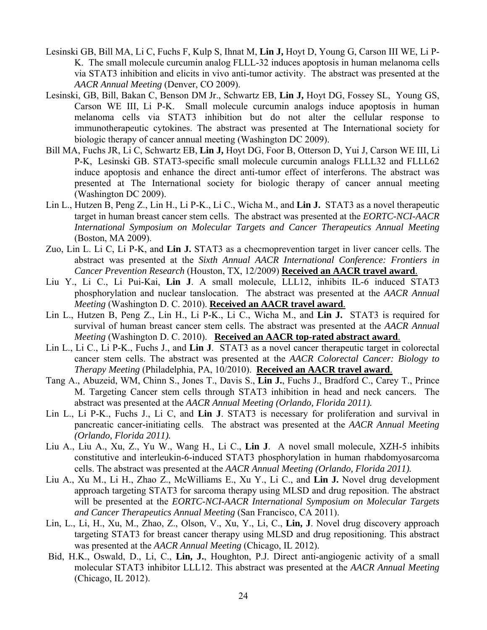- Lesinski GB, Bill MA, Li C, Fuchs F, Kulp S, Ihnat M, **Lin J,** Hoyt D, Young G, Carson III WE, Li P-K. The small molecule curcumin analog FLLL-32 induces apoptosis in human melanoma cells via STAT3 inhibition and elicits in vivo anti-tumor activity. The abstract was presented at the *AACR Annual Meeting* (Denver, CO 2009).
- Lesinski, GB, Bill, Bakan C, Benson DM Jr., Schwartz EB, **Lin J,** Hoyt DG, Fossey SL, Young GS, Carson WE III, Li P-K. Small molecule curcumin analogs induce apoptosis in human melanoma cells via STAT3 inhibition but do not alter the cellular response to immunotherapeutic cytokines. The abstract was presented at The International society for biologic therapy of cancer annual meeting (Washington DC 2009).
- Bill MA, Fuchs JR, Li C, Schwartz EB, **Lin J,** Hoyt DG, Foor B, Otterson D, Yui J, Carson WE III, Li P-K, Lesinski GB. STAT3-specific small molecule curcumin analogs FLLL32 and FLLL62 induce apoptosis and enhance the direct anti-tumor effect of interferons. The abstract was presented at The International society for biologic therapy of cancer annual meeting (Washington DC 2009).
- Lin L., Hutzen B, Peng Z., Lin H., Li P-K., Li C., Wicha M., and **Lin J.** STAT3 as a novel therapeutic target in human breast cancer stem cells. The abstract was presented at the *EORTC-NCI-AACR International Symposium on Molecular Targets and Cancer Therapeutics Annual Meeting* (Boston, MA 2009).
- Zuo, Lin L. Li C, Li P-K, and **Lin J.** STAT3 as a checmoprevention target in liver cancer cells. The abstract was presented at the *Sixth Annual AACR International Conference: Frontiers in Cancer Prevention Research* (Houston, TX, 12/2009) **Received an AACR travel award**.
- Liu Y., Li C., Li Pui-Kai, **Lin J**. A small molecule, LLL12, inhibits IL-6 induced STAT3 phosphorylation and nuclear tanslocation. The abstract was presented at the *AACR Annual Meeting* (Washington D. C. 2010). **Received an AACR travel award**.
- Lin L., Hutzen B, Peng Z., Lin H., Li P-K., Li C., Wicha M., and **Lin J.** STAT3 is required for survival of human breast cancer stem cells. The abstract was presented at the *AACR Annual Meeting* (Washington D. C. 2010). **Received an AACR top-rated abstract award**.
- Lin L., Li C., Li P-K., Fuchs J., and **Lin J**. STAT3 as a novel cancer therapeutic target in colorectal cancer stem cells. The abstract was presented at the *AACR Colorectal Cancer: Biology to Therapy Meeting* (Philadelphia, PA, 10/2010). **Received an AACR travel award**.
- Tang A., Abuzeid, WM, Chinn S., Jones T., Davis S., **Lin J.**, Fuchs J., Bradford C., Carey T., Prince M. Targeting Cancer stem cells through STAT3 inhibition in head and neck cancers*.* The abstract was presented at the *AACR Annual Meeting (Orlando, Florida 2011).*
- Lin L., Li P-K., Fuchs J., Li C, and **Lin J**. STAT3 is necessary for proliferation and survival in pancreatic cancer-initiating cells. The abstract was presented at the *AACR Annual Meeting (Orlando, Florida 2011).*
- Liu A., Liu A., Xu, Z., Yu W., Wang H., Li C., **Lin J**. A novel small molecule, XZH-5 inhibits constitutive and interleukin-6-induced STAT3 phosphorylation in human rhabdomyosarcoma cells. The abstract was presented at the *AACR Annual Meeting (Orlando, Florida 2011).*
- Liu A., Xu M., Li H., Zhao Z., McWilliams E., Xu Y., Li C., and **Lin J.** Novel drug development approach targeting STAT3 for sarcoma therapy using MLSD and drug reposition. The abstract will be presented at the *EORTC-NCI-AACR International Symposium on Molecular Targets and Cancer Therapeutics Annual Meeting* (San Francisco, CA 2011).
- Lin, L., Li, H., Xu, M., Zhao, Z., Olson, V., Xu, Y., Li, C., **Lin, J**. Novel drug discovery approach targeting STAT3 for breast cancer therapy using MLSD and drug repositioning. This abstract was presented at the *AACR Annual Meeting* (Chicago, IL 2012).
- Bid, H.K., Oswald, D., Li, C., **Lin, J.**, Houghton, P.J. Direct anti-angiogenic activity of a small molecular STAT3 inhibitor LLL12. This abstract was presented at the *AACR Annual Meeting*  (Chicago, IL 2012).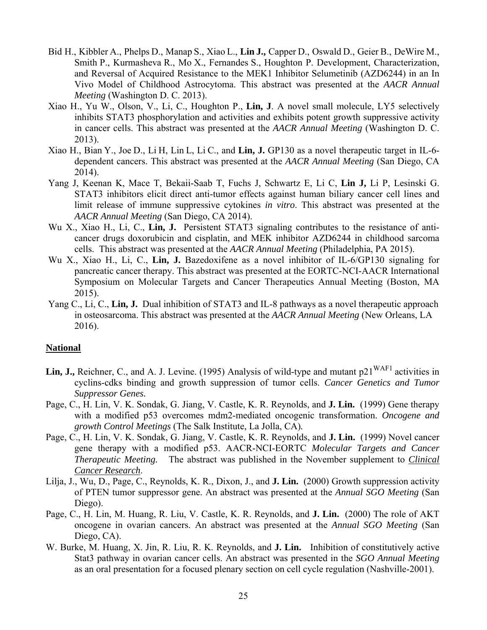- Bid H., Kibbler A., Phelps D., Manap S., Xiao L., **Lin J.,** Capper D., Oswald D., Geier B., DeWire M., Smith P., Kurmasheva R., Mo X., Fernandes S., Houghton P. Development, Characterization, and Reversal of Acquired Resistance to the MEK1 Inhibitor Selumetinib (AZD6244) in an In Vivo Model of Childhood Astrocytoma. This abstract was presented at the *AACR Annual Meeting* (Washington D. C. 2013).
- Xiao H., Yu W., Olson, V., Li, C., Houghton P., **Lin, J**. A novel small molecule, LY5 selectively inhibits STAT3 phosphorylation and activities and exhibits potent growth suppressive activity in cancer cells. This abstract was presented at the *AACR Annual Meeting* (Washington D. C. 2013).
- Xiao H., Bian Y., Joe D., Li H, Lin L, Li C., and **Lin, J.** GP130 as a novel therapeutic target in IL-6 dependent cancers. This abstract was presented at the *AACR Annual Meeting* (San Diego, CA 2014).
- Yang J, Keenan K, Mace T, Bekaii-Saab T, Fuchs J, Schwartz E, Li C, **Lin J,** Li P, Lesinski G. STAT3 inhibitors elicit direct anti-tumor effects against human biliary cancer cell lines and limit release of immune suppressive cytokines *in vitro*. This abstract was presented at the *AACR Annual Meeting* (San Diego, CA 2014).
- Wu X., Xiao H., Li, C., **Lin, J.** Persistent STAT3 signaling contributes to the resistance of anticancer drugs doxorubicin and cisplatin, and MEK inhibitor AZD6244 in childhood sarcoma cells. This abstract was presented at the *AACR Annual Meeting* (Philadelphia, PA 2015).
- Wu X., Xiao H., Li, C., **Lin, J.** Bazedoxifene as a novel inhibitor of IL-6/GP130 signaling for pancreatic cancer therapy. This abstract was presented at the EORTC-NCI-AACR International Symposium on Molecular Targets and Cancer Therapeutics Annual Meeting (Boston, MA 2015).
- Yang C., Li, C., **Lin, J.** Dual inhibition of STAT3 and IL-8 pathways as a novel therapeutic approach in osteosarcoma. This abstract was presented at the *AACR Annual Meeting* (New Orleans, LA 2016).

#### **National**

- Lin, J., Reichner, C., and A. J. Levine. (1995) Analysis of wild-type and mutant p21<sup>WAF1</sup> activities in cyclins-cdks binding and growth suppression of tumor cells. *Cancer Genetics and Tumor Suppressor Genes.*
- Page, C., H. Lin, V. K. Sondak, G. Jiang, V. Castle, K. R. Reynolds, and **J. Lin.** (1999) Gene therapy with a modified p53 overcomes mdm2-mediated oncogenic transformation. *Oncogene and growth Control Meetings* (The Salk Institute, La Jolla, CA)*.*
- Page, C., H. Lin, V. K. Sondak, G. Jiang, V. Castle, K. R. Reynolds, and **J. Lin.** (1999) Novel cancer gene therapy with a modified p53. AACR-NCI-EORTC *Molecular Targets and Cancer Therapeutic Meeting.* The abstract was published in the November supplement to *Clinical Cancer Research*.
- Lilja, J., Wu, D., Page, C., Reynolds, K. R., Dixon, J., and **J. Lin.** (2000) Growth suppression activity of PTEN tumor suppressor gene. An abstract was presented at the *Annual SGO Meeting* (San Diego).
- Page, C., H. Lin, M. Huang, R. Liu, V. Castle, K. R. Reynolds, and **J. Lin.** (2000) The role of AKT oncogene in ovarian cancers. An abstract was presented at the *Annual SGO Meeting* (San Diego, CA).
- W. Burke, M. Huang, X. Jin, R. Liu, R. K. Reynolds, and **J. Lin.** Inhibition of constitutively active Stat3 pathway in ovarian cancer cells. An abstract was presented in the *SGO Annual Meeting* as an oral presentation for a focused plenary section on cell cycle regulation (Nashville-2001).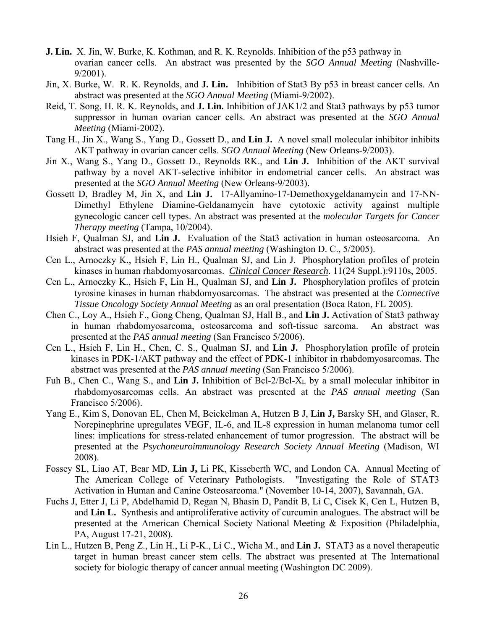- **J. Lin.** X. Jin, W. Burke, K. Kothman, and R. K. Reynolds. Inhibition of the p53 pathway in ovarian cancer cells. An abstract was presented by the *SGO Annual Meeting* (Nashville-9/2001).
- Jin, X. Burke, W. R. K. Reynolds, and **J. Lin.** Inhibition of Stat3 By p53 in breast cancer cells. An abstract was presented at the *SGO Annual Meeting* (Miami-9/2002).
- Reid, T. Song, H. R. K. Reynolds, and **J. Lin.** Inhibition of JAK1/2 and Stat3 pathways by p53 tumor suppressor in human ovarian cancer cells. An abstract was presented at the *SGO Annual Meeting* (Miami-2002).
- Tang H., Jin X., Wang S., Yang D., Gossett D., and **Lin J.** A novel small molecular inhibitor inhibits AKT pathway in ovarian cancer cells. *SGO Annual Meeting* (New Orleans-9/2003).
- Jin X., Wang S., Yang D., Gossett D., Reynolds RK., and **Lin J.** Inhibition of the AKT survival pathway by a novel AKT-selective inhibitor in endometrial cancer cells. An abstract was presented at the *SGO Annual Meeting* (New Orleans-9/2003).
- Gossett D, Bradley M, Jin X, and **Lin J.** 17-Allyamino-17-Demethoxygeldanamycin and 17-NN-Dimethyl Ethylene Diamine-Geldanamycin have cytotoxic activity against multiple gynecologic cancer cell types. An abstract was presented at the *molecular Targets for Cancer Therapy meeting* (Tampa, 10/2004).
- Hsieh F, Qualman SJ, and **Lin J.** Evaluation of the Stat3 activation in human osteosarcoma. An abstract was presented at the *PAS annual meeting* (Washington D. C., 5/2005).
- Cen L., Arnoczky K., Hsieh F, Lin H., Qualman SJ, and Lin J. Phosphorylation profiles of protein kinases in human rhabdomyosarcomas. *Clinical Cancer Research*. 11(24 Suppl.):9110s, 2005.
- Cen L., Arnoczky K., Hsieh F, Lin H., Qualman SJ, and **Lin J.** Phosphorylation profiles of protein tyrosine kinases in human rhabdomyosarcomas. The abstract was presented at the *Connective Tissue Oncology Society Annual Meeting* as an oral presentation (Boca Raton, FL 2005).
- Chen C., Loy A., Hsieh F., Gong Cheng, Qualman SJ, Hall B., and **Lin J.** Activation of Stat3 pathway in human rhabdomyosarcoma, osteosarcoma and soft-tissue sarcoma. An abstract was presented at the *PAS annual meeting* (San Francisco 5/2006).
- Cen L., Hsieh F, Lin H., Chen, C. S., Qualman SJ, and **Lin J.** Phosphorylation profile of protein kinases in PDK-1/AKT pathway and the effect of PDK-1 inhibitor in rhabdomyosarcomas. The abstract was presented at the *PAS annual meeting* (San Francisco 5/2006).
- Fuh B., Chen C., Wang S., and **Lin J.** Inhibition of Bcl-2/Bcl-XL by a small molecular inhibitor in rhabdomyosarcomas cells. An abstract was presented at the *PAS annual meeting* (San Francisco 5/2006).
- Yang E., Kim S, Donovan EL, Chen M, Beickelman A, Hutzen B J, **Lin J,** Barsky SH, and Glaser, R. Norepinephrine upregulates VEGF, IL-6, and IL-8 expression in human melanoma tumor cell lines: implications for stress-related enhancement of tumor progression. The abstract will be presented at the *Psychoneuroimmunology Research Society Annual Meeting* (Madison, WI 2008).
- Fossey SL, Liao AT, Bear MD, **Lin J,** Li PK, Kisseberth WC, and London CA. Annual Meeting of The American College of Veterinary Pathologists. "Investigating the Role of STAT3 Activation in Human and Canine Osteosarcoma." (November 10-14, 2007), Savannah, GA.
- Fuchs J, Etter J, Li P, Abdelhamid D, Regan N, Bhasin D, Pandit B, Li C, Cisek K, Cen L, Hutzen B, and **Lin L.** Synthesis and antiproliferative activity of curcumin analogues. The abstract will be presented at the American Chemical Society National Meeting & Exposition (Philadelphia, PA, August 17-21, 2008).
- Lin L., Hutzen B, Peng Z., Lin H., Li P-K., Li C., Wicha M., and **Lin J.** STAT3 as a novel therapeutic target in human breast cancer stem cells. The abstract was presented at The International society for biologic therapy of cancer annual meeting (Washington DC 2009).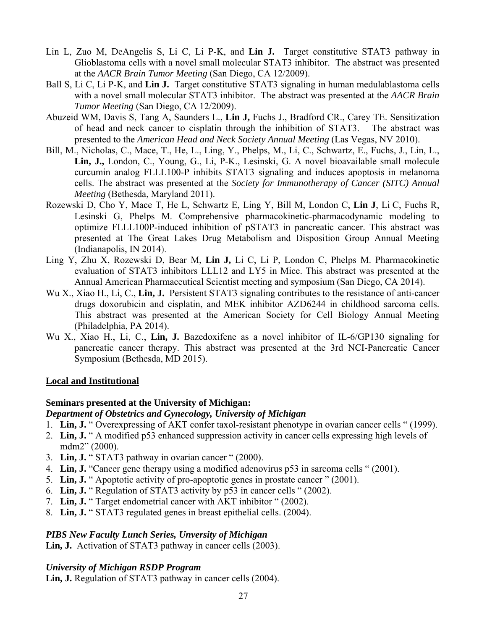- Lin L, Zuo M, DeAngelis S, Li C, Li P-K, and **Lin J.** Target constitutive STAT3 pathway in Glioblastoma cells with a novel small molecular STAT3 inhibitor. The abstract was presented at the *AACR Brain Tumor Meeting* (San Diego, CA 12/2009).
- Ball S, Li C, Li P-K, and **Lin J.** Target constitutive STAT3 signaling in human medulablastoma cells with a novel small molecular STAT3 inhibitor. The abstract was presented at the *AACR Brain Tumor Meeting* (San Diego, CA 12/2009).
- Abuzeid WM, Davis S, Tang A, Saunders L., **Lin J,** Fuchs J., Bradford CR., Carey TE. Sensitization of head and neck cancer to cisplatin through the inhibition of STAT3. The abstract was presented to the *American Head and Neck Society Annual Meeting* (Las Vegas, NV 2010).
- Bill, M., Nicholas, C., Mace, T., He, L., Ling, Y., Phelps, M., Li, C., Schwartz, E., Fuchs, J., Lin, L., **Lin, J.,** London, C., Young, G., Li, P-K., Lesinski, G. A novel bioavailable small molecule curcumin analog FLLL100-P inhibits STAT3 signaling and induces apoptosis in melanoma cells. The abstract was presented at the *Society for Immunotherapy of Cancer (SITC) Annual Meeting* (Bethesda, Maryland 2011).
- Rozewski D, Cho Y, Mace T, He L, Schwartz E, Ling Y, Bill M, London C, **Lin J**, Li C, Fuchs R, Lesinski G, Phelps M. Comprehensive pharmacokinetic-pharmacodynamic modeling to optimize FLLL100P-induced inhibition of pSTAT3 in pancreatic cancer. This abstract was presented at The Great Lakes Drug Metabolism and Disposition Group Annual Meeting (Indianapolis, IN 2014).
- Ling Y, Zhu X, Rozewski D, Bear M, **Lin J,** Li C, Li P, London C, Phelps M. Pharmacokinetic evaluation of STAT3 inhibitors LLL12 and LY5 in Mice. This abstract was presented at the Annual American Pharmaceutical Scientist meeting and symposium (San Diego, CA 2014).
- Wu X., Xiao H., Li, C., **Lin, J.** Persistent STAT3 signaling contributes to the resistance of anti-cancer drugs doxorubicin and cisplatin, and MEK inhibitor AZD6244 in childhood sarcoma cells. This abstract was presented at the American Society for Cell Biology Annual Meeting (Philadelphia, PA 2014).
- Wu X., Xiao H., Li, C., **Lin, J.** Bazedoxifene as a novel inhibitor of IL-6/GP130 signaling for pancreatic cancer therapy. This abstract was presented at the 3rd NCI-Pancreatic Cancer Symposium (Bethesda, MD 2015).

#### **Local and Institutional**

### **Seminars presented at the University of Michigan:**

#### *Department of Obstetrics and Gynecology, University of Michigan*

- 1. **Lin, J.** " Overexpressing of AKT confer taxol-resistant phenotype in ovarian cancer cells " (1999).
- 2. **Lin, J.** " A modified p53 enhanced suppression activity in cancer cells expressing high levels of mdm2" (2000).
- 3. **Lin, J.** " STAT3 pathway in ovarian cancer " (2000).
- 4. **Lin, J.** "Cancer gene therapy using a modified adenovirus p53 in sarcoma cells " (2001).
- 5. **Lin, J.** " Apoptotic activity of pro-apoptotic genes in prostate cancer " (2001).
- 6. **Lin, J.** " Regulation of STAT3 activity by p53 in cancer cells " (2002).
- 7. **Lin, J.** " Target endometrial cancer with AKT inhibitor " (2002).
- 8. **Lin, J.** " STAT3 regulated genes in breast epithelial cells. (2004).

### *PIBS New Faculty Lunch Series, Unversity of Michigan*

Lin, J. Activation of STAT3 pathway in cancer cells (2003).

### *University of Michigan RSDP Program*

Lin, J. Regulation of STAT3 pathway in cancer cells (2004).